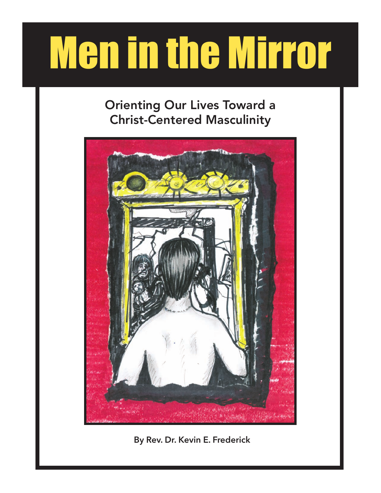# Men in the Mirror

# Orienting Our Lives Toward a Christ-Centered Masculinity



**By Rev. Dr. Kevin E. Frederick**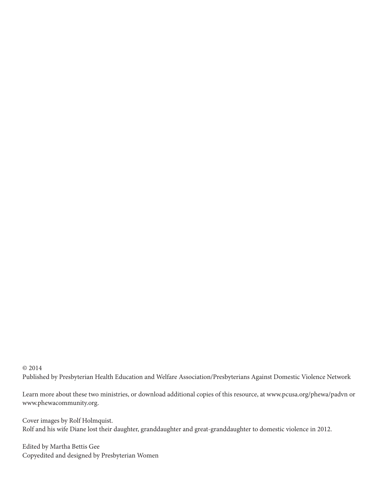# © 2014 Published by Presbyterian Health Education and Welfare Association/Presbyterians Against Domestic Violence Network

Learn more about these two ministries, or download additional copies of this resource, at www.pcusa.org/phewa/padvn or www.phewacommunity.org.

Cover images by Rolf Holmquist. Rolf and his wife Diane lost their daughter, granddaughter and great-granddaughter to domestic violence in 2012.

Edited by Martha Bettis Gee Copyedited and designed by Presbyterian Women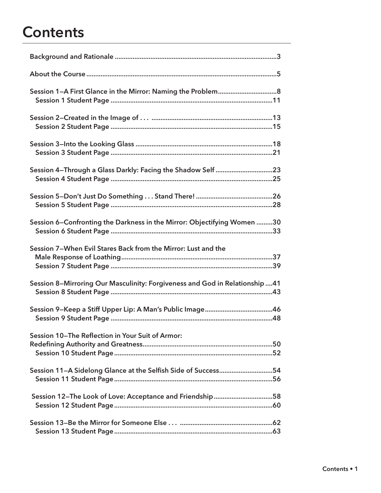# **Contents**

| Session 4-Through a Glass Darkly: Facing the Shadow Self 23                 |
|-----------------------------------------------------------------------------|
|                                                                             |
| Session 6–Confronting the Darkness in the Mirror: Objectifying Women 30     |
| Session 7-When Evil Stares Back from the Mirror: Lust and the               |
| Session 8–Mirroring Our Masculinity: Forgiveness and God in Relationship 41 |
|                                                                             |
| Session 10-The Reflection in Your Suit of Armor:                            |
| Session 11-A Sidelong Glance at the Selfish Side of Success54               |
| Session 12-The Look of Love: Acceptance and Friendship58                    |
|                                                                             |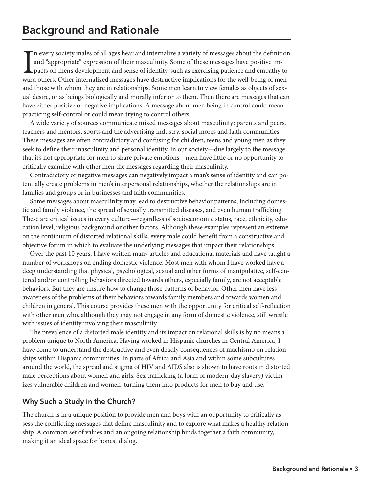In every society males of all ages hear and internalize a variety of messages about the definitio and "appropriate" expression of their masculinity. Some of these messages have positive impacts on men's development and sen n every society males of all ages hear and internalize a variety of messages about the definition and "appropriate" expression of their masculinity. Some of these messages have positive impacts on men's development and sense of identity, such as exercising patience and empathy toand those with whom they are in relationships. Some men learn to view females as objects of sexual desire, or as beings biologically and morally inferior to them. Then there are messages that can have either positive or negative implications. A message about men being in control could mean practicing self-control or could mean trying to control others.

A wide variety of sources communicate mixed messages about masculinity: parents and peers, teachers and mentors, sports and the advertising industry, social mores and faith communities. These messages are often contradictory and confusing for children, teens and young men as they seek to define their masculinity and personal identity. In our society—due largely to the message that it's not appropriate for men to share private emotions—men have little or no opportunity to critically examine with other men the messages regarding their masculinity.

Contradictory or negative messages can negatively impact a man's sense of identity and can potentially create problems in men's interpersonal relationships, whether the relationships are in families and groups or in businesses and faith communities.

Some messages about masculinity may lead to destructive behavior patterns, including domestic and family violence, the spread of sexually transmitted diseases, and even human trafficking. These are critical issues in every culture—regardless of socioeconomic status, race, ethnicity, education level, religious background or other factors. Although these examples represent an extreme on the continuum of distorted relational skills, every male could benefit from a constructive and objective forum in which to evaluate the underlying messages that impact their relationships.

Over the past 10 years, I have written many articles and educational materials and have taught a number of workshops on ending domestic violence. Most men with whom I have worked have a deep understanding that physical, psychological, sexual and other forms of manipulative, self-centered and/or controlling behaviors directed towards others, especially family, are not acceptable behaviors. But they are unsure how to change those patterns of behavior. Other men have less awareness of the problems of their behaviors towards family members and towards women and children in general. This course provides these men with the opportunity for critical self-reflection with other men who, although they may not engage in any form of domestic violence, still wrestle with issues of identity involving their masculinity.

The prevalence of a distorted male identity and its impact on relational skills is by no means a problem unique to North America. Having worked in Hispanic churches in Central America, I have come to understand the destructive and even deadly consequences of machismo on relationships within Hispanic communities. In parts of Africa and Asia and within some subcultures around the world, the spread and stigma of HIV and AIDS also is shown to have roots in distorted male perceptions about women and girls. Sex trafficking (a form of modern-day slavery) victimizes vulnerable children and women, turning them into products for men to buy and use.

# **Why Such a Study in the Church?**

The church is in a unique position to provide men and boys with an opportunity to critically assess the conflicting messages that define masculinity and to explore what makes a healthy relationship. A common set of values and an ongoing relationship binds together a faith community, making it an ideal space for honest dialog.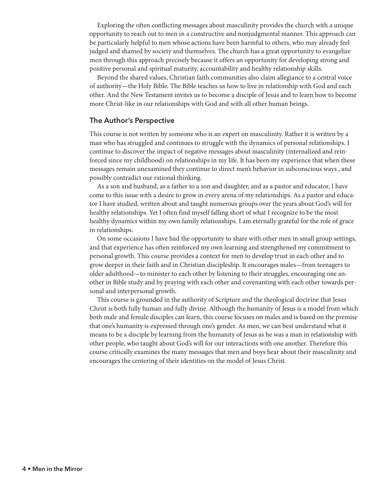Exploring the often conflicting messages about masculinity provides the church with a unique opportunity to reach out to men in a constructive and nonjudgmental manner. This approach can be particularly helpful to men whose actions have been harmful to others, who may already feel judged and shamed by society and themselves. The church has a great opportunity to evangelize men through this approach precisely because it offers an opportunity for developing strong and positive personal and spiritual maturity, accountability and healthy relationship skills.

Beyond the shared values, Christian faith communities also claim allegiance to a central voice of authority—the Holy Bible. The Bible teaches us how to live in relationship with God and each other. And the New Testament invites us to become a disciple of Jesus and to learn how to become more Christ-like in our relationships with God and with all other human beings.

#### **The Author's Perspective**

This course is not written by someone who is an expert on masculinity. Rather it is written by a man who has struggled and continues to struggle with the dynamics of personal relationships. I continue to discover the impact of negative messages about masculinity (internalized and reinforced since my childhood) on relationships in my life. It has been my experience that when these messages remain unexamined they continue to direct men's behavior in subconscious ways , and possibly contradict our rational thinking.

As a son and husband, as a father to a son and daughter, and as a pastor and educator, I have come to this issue with a desire to grow in every arena of my relationships. As a pastor and educator I have studied, written about and taught numerous groups over the years about God's will for healthy relationships. Yet I often find myself falling short of what I recognize to be the most healthy dynamics within my own family relationships. I am eternally grateful for the role of grace in relationships.

On some occasions I have had the opportunity to share with other men in small group settings, and that experience has often reinforced my own learning and strengthened my commitment to personal growth. This course provides a context for men to develop trust in each other and to grow deeper in their faith and in Christian discipleship. It encourages males—from teenagers to older adulthood—to minister to each other by listening to their struggles, encouraging one another in Bible study and by praying with each other and covenanting with each other towards personal and interpersonal growth.

This course is grounded in the authority of Scripture and the theological doctrine that Jesus Christ is both fully human and fully divine. Although the humanity of Jesus is a model from which both male and female disciples can learn, this course focuses on males and is based on the premise that one's humanity is expressed through one's gender. As men, we can best understand what it means to be a disciple by learning from the humanity of Jesus as he was a man in relationship with other people, who taught about God's will for our interactions with one another. Therefore this course critically examines the many messages that men and boys hear about their masculinity and encourages the centering of their identities on the model of Jesus Christ.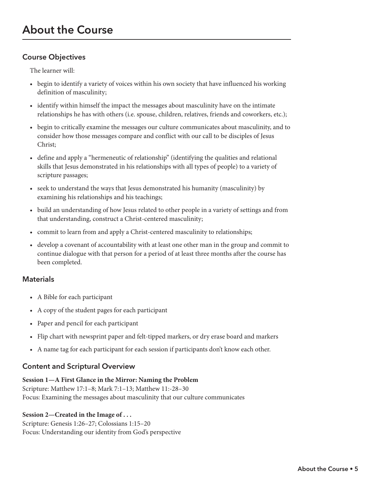# **Course Objectives**

The learner will:

- begin to identify a variety of voices within his own society that have influenced his working definition of masculinity;
- identify within himself the impact the messages about masculinity have on the intimate relationships he has with others (i.e. spouse, children, relatives, friends and coworkers, etc.);
- begin to critically examine the messages our culture communicates about masculinity, and to consider how those messages compare and conflict with our call to be disciples of Jesus Christ;
- define and apply a "hermeneutic of relationship" (identifying the qualities and relational skills that Jesus demonstrated in his relationships with all types of people) to a variety of scripture passages;
- seek to understand the ways that Jesus demonstrated his humanity (masculinity) by examining his relationships and his teachings;
- build an understanding of how Jesus related to other people in a variety of settings and from that understanding, construct a Christ-centered masculinity;
- commit to learn from and apply a Christ-centered masculinity to relationships;
- develop a covenant of accountability with at least one other man in the group and commit to continue dialogue with that person for a period of at least three months after the course has been completed.

# **Materials**

- A Bible for each participant
- A copy of the student pages for each participant
- Paper and pencil for each participant
- Flip chart with newsprint paper and felt-tipped markers, or dry erase board and markers
- A name tag for each participant for each session if participants don't know each other.

# **Content and Scriptural Overview**

# **Session 1—A First Glance in the Mirror: Naming the Problem**

Scripture: Matthew 17:1–8; Mark 7:1–13; Matthew 11:-28–30 Focus: Examining the messages about masculinity that our culture communicates

# **Session 2—Created in the Image of . . .**

Scripture: Genesis 1:26–27; Colossians 1:15–20 Focus: Understanding our identity from God's perspective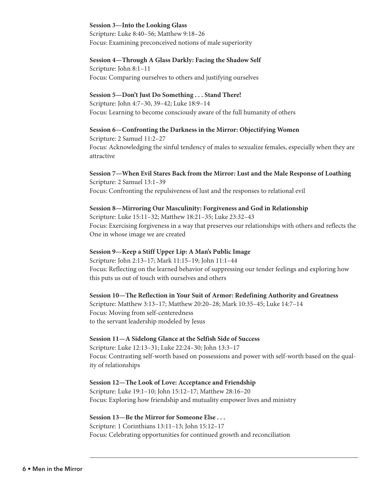#### **Session 3—Into the Looking Glass**

Scripture: Luke 8:40–56; Matthew 9:18–26 Focus: Examining preconceived notions of male superiority

#### **Session 4—Through A Glass Darkly: Facing the Shadow Self**

Scripture: John 8:1–11 Focus: Comparing ourselves to others and justifying ourselves

#### **Session 5—Don't Just Do Something . . . Stand There!**

Scripture: John 4:7–30, 39–42; Luke 18:9–14 Focus: Learning to become consciously aware of the full humanity of others

#### **Session 6—Confronting the Darkness in the Mirror: Objectifying Women**

Scripture: 2 Samuel 11:2–27 Focus: Acknowledging the sinful tendency of males to sexualize females, especially when they are attractive

#### **Session 7—When Evil Stares Back from the Mirror: Lust and the Male Response of Loathing** Scripture: 2 Samuel 13:1–39

Focus: Confronting the repulsiveness of lust and the responses to relational evil

#### **Session 8—Mirroring Our Masculinity: Forgiveness and God in Relationship**

Scripture: Luke 15:11–32; Matthew 18:21–35; Luke 23:32–43 Focus: Exercising forgiveness in a way that preserves our relationships with others and reflects the One in whose image we are created

# **Session 9—Keep a Stiff Upper Lip: A Man's Public Image**

Scripture: John 2:13–17; Mark 11:15–19; John 11:1–44 Focus: Reflecting on the learned behavior of suppressing our tender feelings and exploring how this puts us out of touch with ourselves and others

#### **Session 10—The Reflection in Your Suit of Armor: Redefining Authority and Greatness**

Scripture: Matthew 3:13–17; Matthew 20:20–28; Mark 10:35–45; Luke 14:7–14 Focus: Moving from self-centeredness to the servant leadership modeled by Jesus

#### **Session 11—A Sidelong Glance at the Selfish Side of Success**

Scripture: Luke 12:13–31; Luke 22:24–30; John 13:3–17 Focus: Contrasting self-worth based on possessions and power with self-worth based on the quality of relationships

# **Session 12—The Look of Love: Acceptance and Friendship**

Scripture: Luke 19:1–10; John 15:12–17; Matthew 28:16–20 Focus: Exploring how friendship and mutuality empower lives and ministry

# **Session 13—Be the Mirror for Someone Else . . .**

Scripture: 1 Corinthians 13:11–13; John 15:12–17 Focus: Celebrating opportunities for continued growth and reconciliation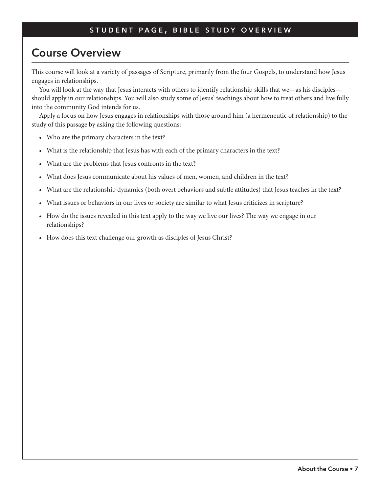# **Course Overview**

This course will look at a variety of passages of Scripture, primarily from the four Gospels, to understand how Jesus engages in relationships.

You will look at the way that Jesus interacts with others to identify relationship skills that we—as his disciples should apply in our relationships. You will also study some of Jesus' teachings about how to treat others and live fully into the community God intends for us.

Apply a focus on how Jesus engages in relationships with those around him (a hermeneutic of relationship) to the study of this passage by asking the following questions:

- Who are the primary characters in the text?
- What is the relationship that Jesus has with each of the primary characters in the text?
- What are the problems that Jesus confronts in the text?
- What does Jesus communicate about his values of men, women, and children in the text?
- What are the relationship dynamics (both overt behaviors and subtle attitudes) that Jesus teaches in the text?
- What issues or behaviors in our lives or society are similar to what Jesus criticizes in scripture?
- How do the issues revealed in this text apply to the way we live our lives? The way we engage in our relationships?
- How does this text challenge our growth as disciples of Jesus Christ?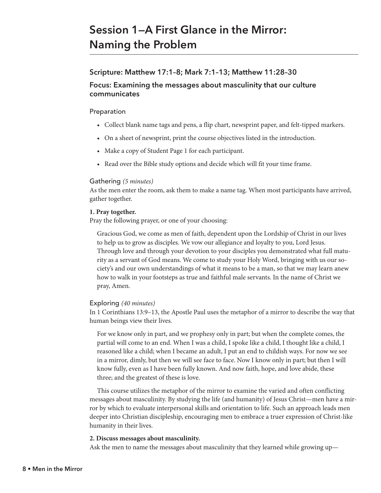# **Session 1—A First Glance in the Mirror: Naming the Problem**

# **Scripture: Matthew 17:1–8; Mark 7:1–13; Matthew 11:28–30**

# **Focus: Examining the messages about masculinity that our culture communicates**

# Preparation

- Collect blank name tags and pens, a flip chart, newsprint paper, and felt-tipped markers.
- On a sheet of newsprint, print the course objectives listed in the introduction.
- Make a copy of Student Page 1 for each participant.
- Read over the Bible study options and decide which will fit your time frame.

# Gathering *(5 minutes)*

As the men enter the room, ask them to make a name tag. When most participants have arrived, gather together.

# **1. Pray together.**

Pray the following prayer, or one of your choosing:

Gracious God, we come as men of faith, dependent upon the Lordship of Christ in our lives to help us to grow as disciples. We vow our allegiance and loyalty to you, Lord Jesus. Through love and through your devotion to your disciples you demonstrated what full maturity as a servant of God means. We come to study your Holy Word, bringing with us our society's and our own understandings of what it means to be a man, so that we may learn anew how to walk in your footsteps as true and faithful male servants. In the name of Christ we pray, Amen.

# Exploring *(40 minutes)*

In 1 Corinthians 13:9–13, the Apostle Paul uses the metaphor of a mirror to describe the way that human beings view their lives.

For we know only in part, and we prophesy only in part; but when the complete comes, the partial will come to an end. When I was a child, I spoke like a child, I thought like a child, I reasoned like a child; when I became an adult, I put an end to childish ways. For now we see in a mirror, dimly, but then we will see face to face. Now I know only in part; but then I will know fully, even as I have been fully known. And now faith, hope, and love abide, these three; and the greatest of these is love.

This course utilizes the metaphor of the mirror to examine the varied and often conflicting messages about masculinity. By studying the life (and humanity) of Jesus Christ—men have a mirror by which to evaluate interpersonal skills and orientation to life. Such an approach leads men deeper into Christian discipleship, encouraging men to embrace a truer expression of Christ-like humanity in their lives.

# **2. Discuss messages about masculinity.**

Ask the men to name the messages about masculinity that they learned while growing up—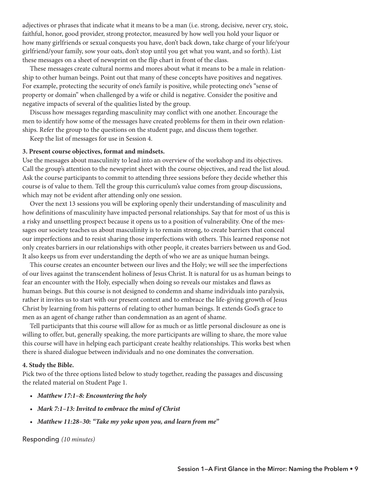adjectives or phrases that indicate what it means to be a man (i.e. strong, decisive, never cry, stoic, faithful, honor, good provider, strong protector, measured by how well you hold your liquor or how many girlfriends or sexual conquests you have, don't back down, take charge of your life/your girlfriend/your family, sow your oats, don't stop until you get what you want, and so forth). List these messages on a sheet of newsprint on the flip chart in front of the class.

These messages create cultural norms and mores about what it means to be a male in relationship to other human beings. Point out that many of these concepts have positives and negatives. For example, protecting the security of one's family is positive, while protecting one's "sense of property or domain" when challenged by a wife or child is negative. Consider the positive and negative impacts of several of the qualities listed by the group.

Discuss how messages regarding masculinity may conflict with one another. Encourage the men to identify how some of the messages have created problems for them in their own relationships. Refer the group to the questions on the student page, and discuss them together.

Keep the list of messages for use in Session 4.

#### **3. Present course objectives, format and mindsets.**

Use the messages about masculinity to lead into an overview of the workshop and its objectives. Call the group's attention to the newsprint sheet with the course objectives, and read the list aloud. Ask the course participants to commit to attending three sessions before they decide whether this course is of value to them. Tell the group this curriculum's value comes from group discussions, which may not be evident after attending only one session.

Over the next 13 sessions you will be exploring openly their understanding of masculinity and how definitions of masculinity have impacted personal relationships. Say that for most of us this is a risky and unsettling prospect because it opens us to a position of vulnerability. One of the messages our society teaches us about masculinity is to remain strong, to create barriers that conceal our imperfections and to resist sharing those imperfections with others. This learned response not only creates barriers in our relationships with other people, it creates barriers between us and God. It also keeps us from ever understanding the depth of who we are as unique human beings.

This course creates an encounter between our lives and the Holy; we will see the imperfections of our lives against the transcendent holiness of Jesus Christ. It is natural for us as human beings to fear an encounter with the Holy, especially when doing so reveals our mistakes and flaws as human beings. But this course is not designed to condemn and shame individuals into paralysis, rather it invites us to start with our present context and to embrace the life-giving growth of Jesus Christ by learning from his patterns of relating to other human beings. It extends God's grace to men as an agent of change rather than condemnation as an agent of shame.

Tell participants that this course will allow for as much or as little personal disclosure as one is willing to offer, but, generally speaking, the more participants are willing to share, the more value this course will have in helping each participant create healthy relationships. This works best when there is shared dialogue between individuals and no one dominates the conversation.

#### **4. Study the Bible.**

Pick two of the three options listed below to study together, reading the passages and discussing the related material on Student Page 1.

- *Matthew 17:1–8: Encountering the holy*
- *Mark 7:1–13: Invited to embrace the mind of Christ*
- *Matthew 11:28–30: "Take my yoke upon you, and learn from me"*

Responding *(10 minutes)*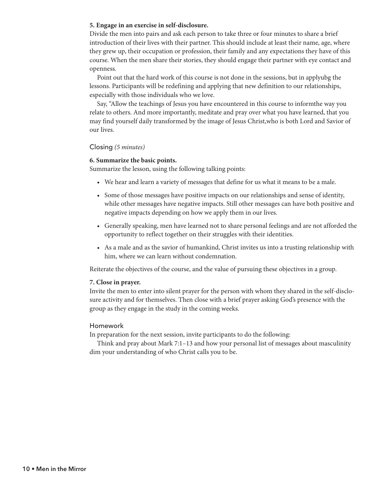#### **5. Engage in an exercise in self-disclosure.**

Divide the men into pairs and ask each person to take three or four minutes to share a brief introduction of their lives with their partner. This should include at least their name, age, where they grew up, their occupation or profession, their family and any expectations they have of this course. When the men share their stories, they should engage their partner with eye contact and openness.

Point out that the hard work of this course is not done in the sessions, but in applyubg the lessons. Participants will be redefining and applying that new definition to our relationships, especially with those individuals who we love.

Say, "Allow the teachings of Jesus you have encountered in this course to informthe way you relate to others. And more importantly, meditate and pray over what you have learned, that you may find yourself daily transformed by the image of Jesus Christ,who is both Lord and Savior of our lives.

#### Closing *(5 minutes)*

#### **6. Summarize the basic points.**

Summarize the lesson, using the following talking points:

- We hear and learn a variety of messages that define for us what it means to be a male.
- Some of those messages have positive impacts on our relationships and sense of identity, while other messages have negative impacts. Still other messages can have both positive and negative impacts depending on how we apply them in our lives.
- Generally speaking, men have learned not to share personal feelings and are not afforded the opportunity to reflect together on their struggles with their identities.
- As a male and as the savior of humankind, Christ invites us into a trusting relationship with him, where we can learn without condemnation.

Reiterate the objectives of the course, and the value of pursuing these objectives in a group.

#### **7. Close in prayer.**

Invite the men to enter into silent prayer for the person with whom they shared in the self-disclosure activity and for themselves. Then close with a brief prayer asking God's presence with the group as they engage in the study in the coming weeks.

#### Homework

In preparation for the next session, invite participants to do the following:

Think and pray about Mark 7:1–13 and how your personal list of messages about masculinity dim your understanding of who Christ calls you to be.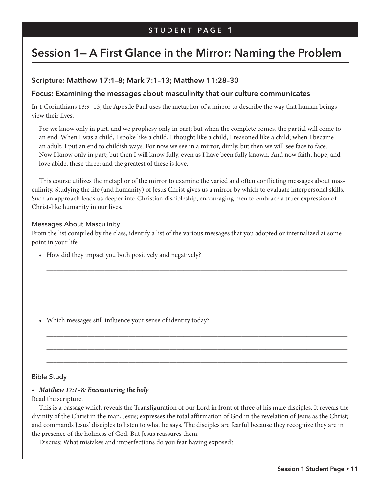# **Session 1— A First Glance in the Mirror: Naming the Problem**

# **Scripture: Matthew 17:1–8; Mark 7:1–13; Matthew 11:28–30**

## **Focus: Examining the messages about masculinity that our culture communicates**

In 1 Corinthians 13:9–13, the Apostle Paul uses the metaphor of a mirror to describe the way that human beings view their lives.

For we know only in part, and we prophesy only in part; but when the complete comes, the partial will come to an end. When I was a child, I spoke like a child, I thought like a child, I reasoned like a child; when I became an adult, I put an end to childish ways. For now we see in a mirror, dimly, but then we will see face to face. Now I know only in part; but then I will know fully, even as I have been fully known. And now faith, hope, and love abide, these three; and the greatest of these is love.

This course utilizes the metaphor of the mirror to examine the varied and often conflicting messages about masculinity. Studying the life (and humanity) of Jesus Christ gives us a mirror by which to evaluate interpersonal skills. Such an approach leads us deeper into Christian discipleship, encouraging men to embrace a truer expression of Christ-like humanity in our lives.

#### Messages About Masculinity

From the list compiled by the class, identify a list of the various messages that you adopted or internalized at some point in your life.

\_\_\_\_\_\_\_\_\_\_\_\_\_\_\_\_\_\_\_\_\_\_\_\_\_\_\_\_\_\_\_\_\_\_\_\_\_\_\_\_\_\_\_\_\_\_\_\_\_\_\_\_\_\_\_\_\_\_\_\_\_\_\_\_\_\_\_\_\_\_\_\_\_\_\_\_\_\_\_\_\_\_\_\_\_\_\_\_

\_\_\_\_\_\_\_\_\_\_\_\_\_\_\_\_\_\_\_\_\_\_\_\_\_\_\_\_\_\_\_\_\_\_\_\_\_\_\_\_\_\_\_\_\_\_\_\_\_\_\_\_\_\_\_\_\_\_\_\_\_\_\_\_\_\_\_\_\_\_\_\_\_\_\_\_\_\_\_\_\_\_\_\_\_\_\_\_

\_\_\_\_\_\_\_\_\_\_\_\_\_\_\_\_\_\_\_\_\_\_\_\_\_\_\_\_\_\_\_\_\_\_\_\_\_\_\_\_\_\_\_\_\_\_\_\_\_\_\_\_\_\_\_\_\_\_\_\_\_\_\_\_\_\_\_\_\_\_\_\_\_\_\_\_\_\_\_\_\_\_\_\_\_\_\_\_

\_\_\_\_\_\_\_\_\_\_\_\_\_\_\_\_\_\_\_\_\_\_\_\_\_\_\_\_\_\_\_\_\_\_\_\_\_\_\_\_\_\_\_\_\_\_\_\_\_\_\_\_\_\_\_\_\_\_\_\_\_\_\_\_\_\_\_\_\_\_\_\_\_\_\_\_\_\_\_\_\_\_\_\_\_\_\_\_

\_\_\_\_\_\_\_\_\_\_\_\_\_\_\_\_\_\_\_\_\_\_\_\_\_\_\_\_\_\_\_\_\_\_\_\_\_\_\_\_\_\_\_\_\_\_\_\_\_\_\_\_\_\_\_\_\_\_\_\_\_\_\_\_\_\_\_\_\_\_\_\_\_\_\_\_\_\_\_\_\_\_\_\_\_\_\_\_

\_\_\_\_\_\_\_\_\_\_\_\_\_\_\_\_\_\_\_\_\_\_\_\_\_\_\_\_\_\_\_\_\_\_\_\_\_\_\_\_\_\_\_\_\_\_\_\_\_\_\_\_\_\_\_\_\_\_\_\_\_\_\_\_\_\_\_\_\_\_\_\_\_\_\_\_\_\_\_\_\_\_\_\_\_\_\_\_

• How did they impact you both positively and negatively?

• Which messages still influence your sense of identity today?

#### Bible Study

#### *• Matthew 17:1–8: Encountering the holy*

#### Read the scripture.

This is a passage which reveals the Transfiguration of our Lord in front of three of his male disciples. It reveals the divinity of the Christ in the man, Jesus; expresses the total affirmation of God in the revelation of Jesus as the Christ; and commands Jesus' disciples to listen to what he says. The disciples are fearful because they recognize they are in the presence of the holiness of God. But Jesus reassures them.

Discuss: What mistakes and imperfections do you fear having exposed?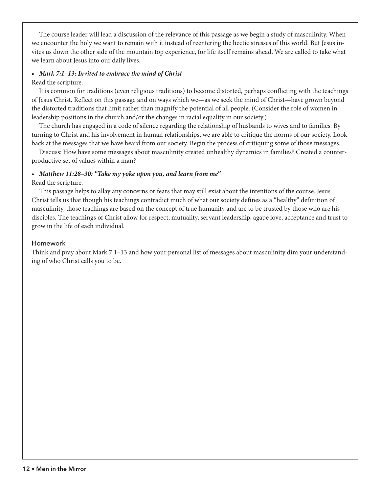The course leader will lead a discussion of the relevance of this passage as we begin a study of masculinity. When we encounter the holy we want to remain with it instead of reentering the hectic stresses of this world. But Jesus invites us down the other side of the mountain top experience, for life itself remains ahead. We are called to take what we learn about Jesus into our daily lives.

# *• Mark 7:1–13: Invited to embrace the mind of Christ*

#### Read the scripture.

It is common for traditions (even religious traditions) to become distorted, perhaps conflicting with the teachings of Jesus Christ. Reflect on this passage and on ways which we—as we seek the mind of Christ—have grown beyond the distorted traditions that limit rather than magnify the potential of all people. (Consider the role of women in leadership positions in the church and/or the changes in racial equality in our society.)

The church has engaged in a code of silence regarding the relationship of husbands to wives and to families. By turning to Christ and his involvement in human relationships, we are able to critique the norms of our society. Look back at the messages that we have heard from our society. Begin the process of critiquing some of those messages.

Discuss: How have some messages about masculinity created unhealthy dynamics in families? Created a counterproductive set of values within a man?

#### *• Matthew 11:28–30: "Take my yoke upon you, and learn from me"*

#### Read the scripture.

This passage helps to allay any concerns or fears that may still exist about the intentions of the course. Jesus Christ tells us that though his teachings contradict much of what our society defines as a "healthy" definition of masculinity, those teachings are based on the concept of true humanity and are to be trusted by those who are his disciples. The teachings of Christ allow for respect, mutuality, servant leadership, agape love, acceptance and trust to grow in the life of each individual.

#### Homework

Think and pray about Mark 7:1–13 and how your personal list of messages about masculinity dim your understanding of who Christ calls you to be.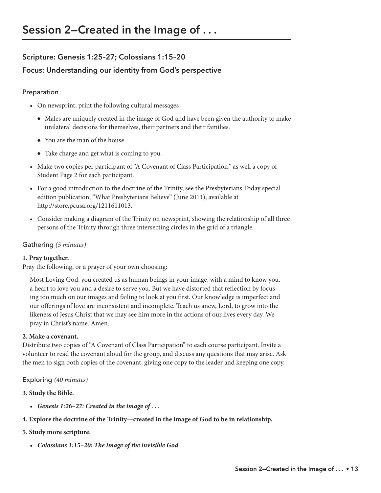# **Scripture: Genesis 1:25–27; Colossians 1:15–20**

# **Focus: Understanding our identity from God's perspective**

# Preparation

- On newsprint, print the following cultural messages
	- © Males are uniquely created in the image of God and have been given the authority to make unilateral decisions for themselves, their partners and their families.
	- © You are the man of the house.
	- © Take charge and get what is coming to you.
- Make two copies per participant of "A Covenant of Class Participation," as well a copy of Student Page 2 for each participant.
- For a good introduction to the doctrine of the Trinity, see the Presbyterians Today special edition publication, "What Presbyterians Believe" (June 2011), available at http://store.pcusa.org/1211611013.
- Consider making a diagram of the Trinity on newsprint, showing the relationship of all three persons of the Trinity through three intersecting circles in the grid of a triangle.

## Gathering *(5 minutes)*

# **1. Pray together.**

Pray the following, or a prayer of your own choosing:

Most Loving God, you created us as human beings in your image, with a mind to know you, a heart to love you and a desire to serve you. But we have distorted that reflection by focusing too much on our images and failing to look at you first. Our knowledge is imperfect and our offerings of love are inconsistent and incomplete. Teach us anew, Lord, to grow into the likeness of Jesus Christ that we may see him more in the actions of our lives every day. We pray in Christ's name. Amen.

#### **2. Make a covenant.**

Distribute two copies of "A Covenant of Class Participation" to each course participant. Invite a volunteer to read the covenant aloud for the group, and discuss any questions that may arise. Ask the men to sign both copies of the covenant, giving one copy to the leader and keeping one copy.

# Exploring *(40 minutes)*

#### **3. Study the Bible.**

- *Genesis 1:26–27: Created in the image of . . .*
- **4. Explore the doctrine of the Trinity—created in the image of God to be in relationship.**

#### **5. Study more scripture.**

*• Colossians 1:15–20: The image of the invisible God*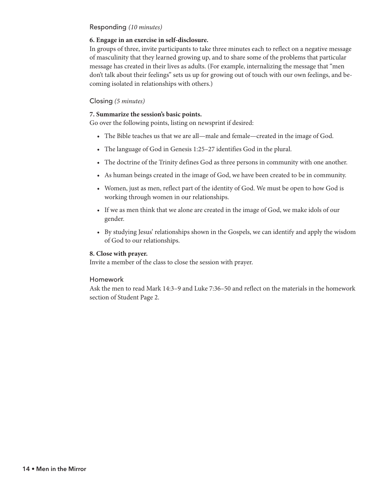#### Responding *(10 minutes)*

#### **6. Engage in an exercise in self-disclosure.**

In groups of three, invite participants to take three minutes each to reflect on a negative message of masculinity that they learned growing up, and to share some of the problems that particular message has created in their lives as adults. (For example, internalizing the message that "men don't talk about their feelings" sets us up for growing out of touch with our own feelings, and becoming isolated in relationships with others.)

#### Closing *(5 minutes)*

#### **7. Summarize the session's basic points.**

Go over the following points, listing on newsprint if desired:

- The Bible teaches us that we are all—male and female—created in the image of God.
- The language of God in Genesis 1:25–27 identifies God in the plural.
- The doctrine of the Trinity defines God as three persons in community with one another.
- As human beings created in the image of God, we have been created to be in community.
- Women, just as men, reflect part of the identity of God. We must be open to how God is working through women in our relationships.
- If we as men think that we alone are created in the image of God, we make idols of our gender.
- By studying Jesus' relationships shown in the Gospels, we can identify and apply the wisdom of God to our relationships.

#### **8. Close with prayer.**

Invite a member of the class to close the session with prayer.

#### Homework

Ask the men to read Mark 14:3–9 and Luke 7:36–50 and reflect on the materials in the homework section of Student Page 2.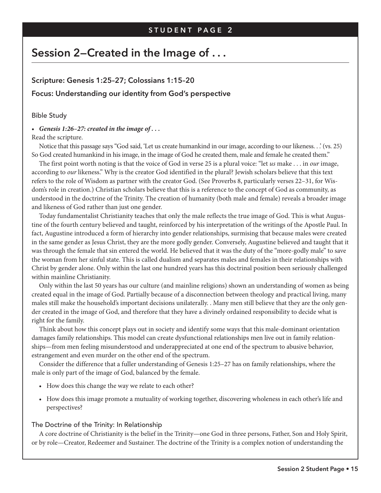# **Session 2—Created in the Image of . . .**

# **Scripture: Genesis 1:25–27; Colossians 1:15–20 Focus: Understanding our identity from God's perspective**

#### Bible Study

*• Genesis 1:26–27: created in the image of . . .* 

#### Read the scripture.

Notice that this passage says "God said, 'Let us create humankind in our image, according to our likeness. . .' (vs. 25) So God created humankind in his image, in the image of God he created them, male and female he created them."

The first point worth noting is that the voice of God in verse 25 is a plural voice: "let *us* make . . . in *our* image, according to *our* likeness." Why is the creator God identified in the plural? Jewish scholars believe that this text refers to the role of Wisdom as partner with the creator God. (See Proverbs 8, particularly verses 22–31, for Wisdom's role in creation.) Christian scholars believe that this is a reference to the concept of God as community, as understood in the doctrine of the Trinity. The creation of humanity (both male and female) reveals a broader image and likeness of God rather than just one gender.

Today fundamentalist Christianity teaches that only the male reflects the true image of God. This is what Augustine of the fourth century believed and taught, reinforced by his interpretation of the writings of the Apostle Paul. In fact, Augustine introduced a form of hierarchy into gender relationships, surmising that because males were created in the same gender as Jesus Christ, they are the more godly gender. Conversely, Augustine believed and taught that it was through the female that sin entered the world. He believed that it was the duty of the "more-godly male" to save the woman from her sinful state. This is called dualism and separates males and females in their relationships with Christ by gender alone. Only within the last one hundred years has this doctrinal position been seriously challenged within mainline Christianity.

Only within the last 50 years has our culture (and mainline religions) shown an understanding of women as being created equal in the image of God. Partially because of a disconnection between theology and practical living, many males still make the household's important decisions unilaterally. . Many men still believe that they are the only gender created in the image of God, and therefore that they have a divinely ordained responsibility to decide what is right for the family.

Think about how this concept plays out in society and identify some ways that this male-dominant orientation damages family relationships. This model can create dysfunctional relationships men live out in family relationships—from men feeling misunderstood and underappreciated at one end of the spectrum to abusive behavior, estrangement and even murder on the other end of the spectrum.

Consider the difference that a fuller understanding of Genesis 1:25–27 has on family relationships, where the male is only part of the image of God, balanced by the female.

- How does this change the way we relate to each other?
- How does this image promote a mutuality of working together, discovering wholeness in each other's life and perspectives?

# The Doctrine of the Trinity: In Relationship

A core doctrine of Christianity is the belief in the Trinity—one God in three persons, Father, Son and Holy Spirit, or by role—Creator, Redeemer and Sustainer. The doctrine of the Trinity is a complex notion of understanding the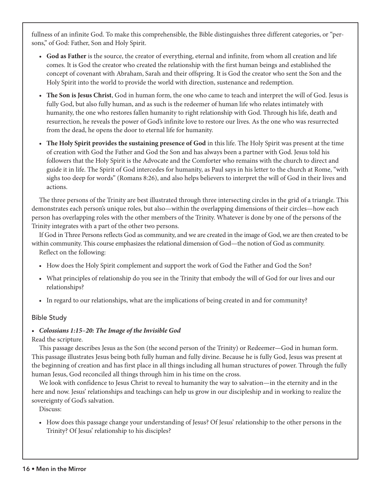fullness of an infinite God. To make this comprehensible, the Bible distinguishes three different categories, or "persons," of God: Father, Son and Holy Spirit.

- **God as Father** is the source, the creator of everything, eternal and infinite, from whom all creation and life comes. It is God the creator who created the relationship with the first human beings and established the concept of covenant with Abraham, Sarah and their offspring. It is God the creator who sent the Son and the Holy Spirit into the world to provide the world with direction, sustenance and redemption.
- **The Son is Jesus Christ**, God in human form, the one who came to teach and interpret the will of God. Jesus is fully God, but also fully human, and as such is the redeemer of human life who relates intimately with humanity, the one who restores fallen humanity to right relationship with God. Through his life, death and resurrection, he reveals the power of God's infinite love to restore our lives. As the one who was resurrected from the dead, he opens the door to eternal life for humanity.
- **The Holy Spirit provides the sustaining presence of God** in this life. The Holy Spirit was present at the time of creation with God the Father and God the Son and has always been a partner with God. Jesus told his followers that the Holy Spirit is the Advocate and the Comforter who remains with the church to direct and guide it in life. The Spirit of God intercedes for humanity, as Paul says in his letter to the church at Rome, "with sighs too deep for words" (Romans 8:26), and also helps believers to interpret the will of God in their lives and actions.

The three persons of the Trinity are best illustrated through three intersecting circles in the grid of a triangle. This demonstrates each person's unique roles, but also—within the overlapping dimensions of their circles—how each person has overlapping roles with the other members of the Trinity. Whatever is done by one of the persons of the Trinity integrates with a part of the other two persons.

If God in Three Persons reflects God as community, and we are created in the image of God, we are then created to be within community. This course emphasizes the relational dimension of God—the notion of God as community. Reflect on the following:

- How does the Holy Spirit complement and support the work of God the Father and God the Son?
- What principles of relationship do you see in the Trinity that embody the will of God for our lives and our relationships?
- In regard to our relationships, what are the implications of being created in and for community?

# Bible Study

# *• Colossians 1:15–20: The Image of the Invisible God*

Read the scripture.

This passage describes Jesus as the Son (the second person of the Trinity) or Redeemer—God in human form. This passage illustrates Jesus being both fully human and fully divine. Because he is fully God, Jesus was present at the beginning of creation and has first place in all things including all human structures of power. Through the fully human Jesus, God reconciled all things through him in his time on the cross.

We look with confidence to Jesus Christ to reveal to humanity the way to salvation—in the eternity and in the here and now. Jesus' relationships and teachings can help us grow in our discipleship and in working to realize the sovereignty of God's salvation.

Discuss:

• How does this passage change your understanding of Jesus? Of Jesus' relationship to the other persons in the Trinity? Of Jesus' relationship to his disciples?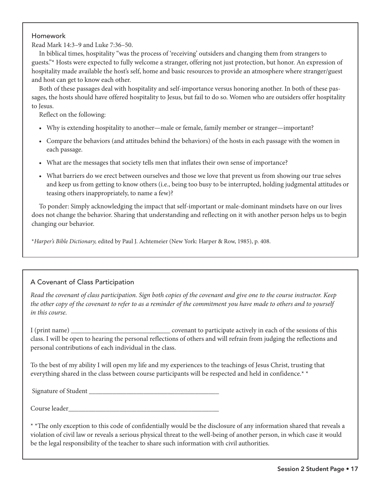#### Homework

Read Mark 14:3–9 and Luke 7:36–50.

In biblical times, hospitality "was the process of 'receiving' outsiders and changing them from strangers to guests."\* Hosts were expected to fully welcome a stranger, offering not just protection, but honor. An expression of hospitality made available the host's self, home and basic resources to provide an atmosphere where stranger/guest and host can get to know each other.

Both of these passages deal with hospitality and self-importance versus honoring another. In both of these passages, the hosts should have offered hospitality to Jesus, but fail to do so. Women who are outsiders offer hospitality to Jesus.

Reflect on the following:

- Why is extending hospitality to another—male or female, family member or stranger—important?
- Compare the behaviors (and attitudes behind the behaviors) of the hosts in each passage with the women in each passage.
- What are the messages that society tells men that inflates their own sense of importance?
- What barriers do we erect between ourselves and those we love that prevent us from showing our true selves and keep us from getting to know others (i.e., being too busy to be interrupted, holding judgmental attitudes or teasing others inappropriately, to name a few)?

To ponder: Simply acknowledging the impact that self-important or male-dominant mindsets have on our lives does not change the behavior. Sharing that understanding and reflecting on it with another person helps us to begin changing our behavior.

\**Harper's Bible Dictionary,* edited by Paul J. Achtemeier (New York: Harper & Row, 1985), p. 408.

# A Covenant of Class Participation

*Read the covenant of class participation. Sign both copies of the covenant and give one to the course instructor. Keep the other copy of the covenant to refer to as a reminder of the commitment you have made to others and to yourself in this course.* 

I (print name) \_\_\_\_\_\_\_\_\_\_\_\_\_\_\_\_\_\_\_\_\_\_\_\_\_\_\_\_\_ covenant to participate actively in each of the sessions of this class. I will be open to hearing the personal reflections of others and will refrain from judging the reflections and personal contributions of each individual in the class.

To the best of my ability I will open my life and my experiences to the teachings of Jesus Christ, trusting that everything shared in the class between course participants will be respected and held in confidence.\* \*

Signature of Student \_

Course leader

\* \*The only exception to this code of confidentially would be the disclosure of any information shared that reveals a violation of civil law or reveals a serious physical threat to the well-being of another person, in which case it would be the legal responsibility of the teacher to share such information with civil authorities.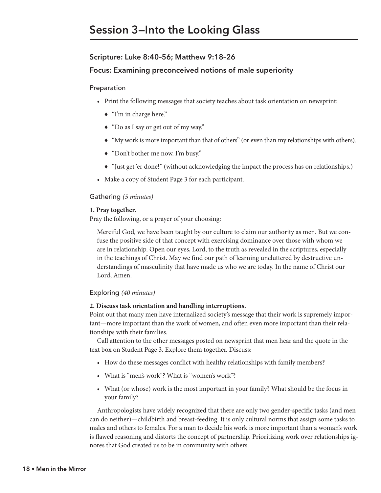# **Scripture: Luke 8:40–56; Matthew 9:18–26**

#### **Focus: Examining preconceived notions of male superiority**

#### Preparation

- Print the following messages that society teaches about task orientation on newsprint:
	- ◆ "I'm in charge here."
	- ◆ "Do as I say or get out of my way."
	- © "My work is more important than that of others" (or even than my relationships with others).
	- © "Don't bother me now. I'm busy."
	- © "Just get 'er done!" (without acknowledging the impact the process has on relationships.)
- Make a copy of Student Page 3 for each participant.

#### Gathering *(5 minutes)*

#### **1. Pray together.**

Pray the following, or a prayer of your choosing:

Merciful God, we have been taught by our culture to claim our authority as men. But we confuse the positive side of that concept with exercising dominance over those with whom we are in relationship. Open our eyes, Lord, to the truth as revealed in the scriptures, especially in the teachings of Christ. May we find our path of learning uncluttered by destructive understandings of masculinity that have made us who we are today. In the name of Christ our Lord, Amen.

#### Exploring *(40 minutes)*

#### **2. Discuss task orientation and handling interruptions.**

Point out that many men have internalized society's message that their work is supremely important—more important than the work of women, and often even more important than their relationships with their families.

Call attention to the other messages posted on newsprint that men hear and the quote in the text box on Student Page 3. Explore them together. Discuss:

- How do these messages conflict with healthy relationships with family members?
- What is "men's work"? What is "women's work"?
- What (or whose) work is the most important in your family? What should be the focus in your family?

Anthropologists have widely recognized that there are only two gender-specific tasks (and men can do neither)—childbirth and breast-feeding. It is only cultural norms that assign some tasks to males and others to females. For a man to decide his work is more important than a woman's work is flawed reasoning and distorts the concept of partnership. Prioritizing work over relationships ignores that God created us to be in community with others.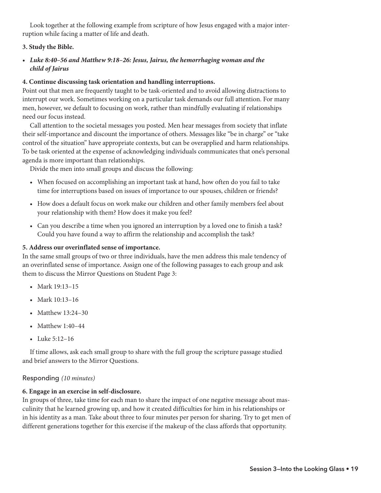Look together at the following example from scripture of how Jesus engaged with a major interruption while facing a matter of life and death.

# **3. Study the Bible.**

*• Luke 8:40–56 and Matthew 9:18–26: Jesus, Jairus, the hemorrhaging woman and the child of Jairus*

# **4. Continue discussing task orientation and handling interruptions.**

Point out that men are frequently taught to be task-oriented and to avoid allowing distractions to interrupt our work. Sometimes working on a particular task demands our full attention. For many men, however, we default to focusing on work, rather than mindfully evaluating if relationships need our focus instead.

Call attention to the societal messages you posted. Men hear messages from society that inflate their self-importance and discount the importance of others. Messages like "be in charge" or "take control of the situation" have appropriate contexts, but can be overapplied and harm relationships. To be task oriented at the expense of acknowledging individuals communicates that one's personal agenda is more important than relationships.

Divide the men into small groups and discuss the following:

- When focused on accomplishing an important task at hand, how often do you fail to take time for interruptions based on issues of importance to our spouses, children or friends?
- How does a default focus on work make our children and other family members feel about your relationship with them? How does it make you feel?
- Can you describe a time when you ignored an interruption by a loved one to finish a task? Could you have found a way to affirm the relationship and accomplish the task?

# **5. Address our overinflated sense of importance.**

In the same small groups of two or three individuals, have the men address this male tendency of an overinflated sense of importance. Assign one of the following passages to each group and ask them to discuss the Mirror Questions on Student Page 3:

- Mark 19:13–15
- Mark 10:13–16
- Matthew 13:24-30
- Matthew 1:40-44
- Luke 5:12–16

If time allows, ask each small group to share with the full group the scripture passage studied and brief answers to the Mirror Questions.

# Responding *(10 minutes)*

# **6. Engage in an exercise in self-disclosure.**

In groups of three, take time for each man to share the impact of one negative message about masculinity that he learned growing up, and how it created difficulties for him in his relationships or in his identity as a man. Take about three to four minutes per person for sharing. Try to get men of different generations together for this exercise if the makeup of the class affords that opportunity.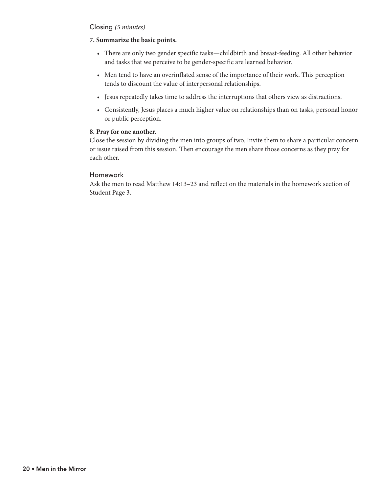# Closing *(5 minutes)*

#### **7. Summarize the basic points.**

- There are only two gender specific tasks—childbirth and breast-feeding. All other behavior and tasks that we perceive to be gender-specific are learned behavior.
- Men tend to have an overinflated sense of the importance of their work. This perception tends to discount the value of interpersonal relationships.
- Jesus repeatedly takes time to address the interruptions that others view as distractions.
- Consistently, Jesus places a much higher value on relationships than on tasks, personal honor or public perception.

#### **8. Pray for one another.**

Close the session by dividing the men into groups of two. Invite them to share a particular concern or issue raised from this session. Then encourage the men share those concerns as they pray for each other.

#### Homework

Ask the men to read Matthew 14:13–23 and reflect on the materials in the homework section of Student Page 3.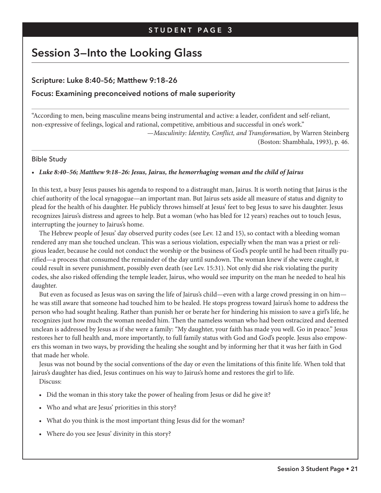# **Session 3—Into the Looking Glass**

# **Scripture: Luke 8:40–56; Matthew 9:18–26**

# **Focus: Examining preconceived notions of male superiority**

"According to men, being masculine means being instrumental and active: a leader, confident and self-reliant, non-expressive of feelings, logical and rational, competitive, ambitious and successful in one's work."

> —*Masculinity: Identity, Conflict, and Transformation*, by Warren Steinberg (Boston: Shambhala, 1993), p. 46.

#### Bible Study

#### *• Luke 8:40–56; Matthew 9:18–26: Jesus, Jairus, the hemorrhaging woman and the child of Jairus*

In this text, a busy Jesus pauses his agenda to respond to a distraught man, Jairus. It is worth noting that Jairus is the chief authority of the local synagogue—an important man. But Jairus sets aside all measure of status and dignity to plead for the health of his daughter. He publicly throws himself at Jesus' feet to beg Jesus to save his daughter. Jesus recognizes Jairus's distress and agrees to help. But a woman (who has bled for 12 years) reaches out to touch Jesus, interrupting the journey to Jairus's home.

The Hebrew people of Jesus' day observed purity codes (see Lev. 12 and 15), so contact with a bleeding woman rendered any man she touched unclean. This was a serious violation, especially when the man was a priest or religious leader, because he could not conduct the worship or the business of God's people until he had been ritually purified—a process that consumed the remainder of the day until sundown. The woman knew if she were caught, it could result in severe punishment, possibly even death (see Lev. 15:31). Not only did she risk violating the purity codes, she also risked offending the temple leader, Jairus, who would see impurity on the man he needed to heal his daughter.

But even as focused as Jesus was on saving the life of Jairus's child—even with a large crowd pressing in on him he was still aware that someone had touched him to be healed. He stops progress toward Jairus's home to address the person who had sought healing. Rather than punish her or berate her for hindering his mission to save a girl's life, he recognizes just how much the woman needed him. Then the nameless woman who had been ostracized and deemed unclean is addressed by Jesus as if she were a family: "My daughter, your faith has made you well. Go in peace." Jesus restores her to full health and, more importantly, to full family status with God and God's people. Jesus also empowers this woman in two ways, by providing the healing she sought and by informing her that it was her faith in God that made her whole.

Jesus was not bound by the social conventions of the day or even the limitations of this finite life. When told that Jairus's daughter has died, Jesus continues on his way to Jairus's home and restores the girl to life.

Discuss:

- Did the woman in this story take the power of healing from Jesus or did he give it?
- Who and what are Jesus' priorities in this story?
- What do you think is the most important thing Jesus did for the woman?
- Where do you see Jesus' divinity in this story?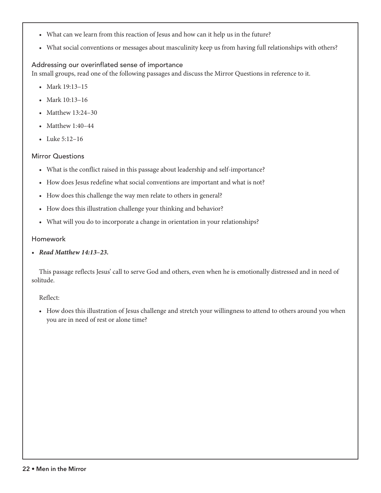- What can we learn from this reaction of Jesus and how can it help us in the future?
- What social conventions or messages about masculinity keep us from having full relationships with others?

# Addressing our overinflated sense of importance

In small groups, read one of the following passages and discuss the Mirror Questions in reference to it.

- Mark 19:13–15
- Mark 10:13–16
- Matthew 13:24–30
- Matthew 1:40-44
- Luke 5:12–16

# Mirror Questions

- What is the conflict raised in this passage about leadership and self-importance?
- How does Jesus redefine what social conventions are important and what is not?
- How does this challenge the way men relate to others in general?
- How does this illustration challenge your thinking and behavior?
- What will you do to incorporate a change in orientation in your relationships?

# Homework

*• Read Matthew 14:13–23.*

This passage reflects Jesus' call to serve God and others, even when he is emotionally distressed and in need of solitude.

# Reflect:

• How does this illustration of Jesus challenge and stretch your willingness to attend to others around you when you are in need of rest or alone time?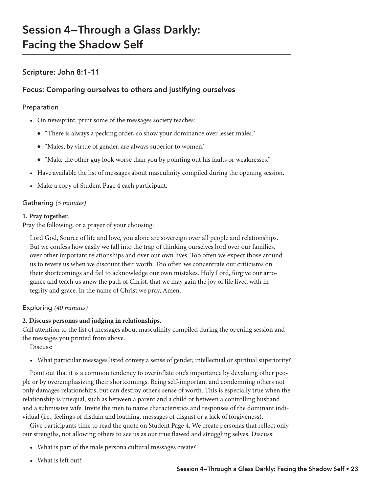# **Session 4—Through a Glass Darkly: Facing the Shadow Self**

# **Scripture: John 8:1–11**

# **Focus: Comparing ourselves to others and justifying ourselves**

# Preparation

- On newsprint, print some of the messages society teaches:
	- © "There is always a pecking order, so show your dominance over lesser males."
	- © "Males, by virtue of gender, are always superior to women."
	- © "Make the other guy look worse than you by pointing out his faults or weaknesses."
- Have available the list of messages about masculinity compiled during the opening session.
- Make a copy of Student Page 4 each participant.

# Gathering *(5 minutes)*

# **1. Pray together.**

Pray the following, or a prayer of your choosing:

Lord God, Source of life and love, you alone are sovereign over all people and relationships. But we confess how easily we fall into the trap of thinking ourselves lord over our families, over other important relationships and over our own lives. Too often we expect those around us to revere us when we discount their worth. Too often we concentrate our criticisms on their shortcomings and fail to acknowledge our own mistakes. Holy Lord, forgive our arrogance and teach us anew the path of Christ, that we may gain the joy of life lived with integrity and grace. In the name of Christ we pray, Amen.

# Exploring *(40 minutes)*

# **2. Discuss personas and judging in relationships.**

Call attention to the list of messages about masculinity compiled during the opening session and the messages you printed from above.

Discuss:

• What particular messages listed convey a sense of gender, intellectual or spiritual superiority?

Point out that it is a common tendency to overinflate one's importance by devaluing other people or by overemphasizing their shortcomings. Being self-important and condemning others not only damages relationships, but can destroy other's sense of worth. This is especially true when the relationship is unequal, such as between a parent and a child or between a controlling husband and a submissive wife. Invite the men to name characteristics and responses of the dominant individual (i.e., feelings of disdain and loathing, messages of disgust or a lack of forgiveness).

Give participants time to read the quote on Student Page 4. We create personas that reflect only our strengths, not allowing others to see us as our true flawed and struggling selves. Discuss:

- What is part of the male persona cultural messages create?
- What is left out?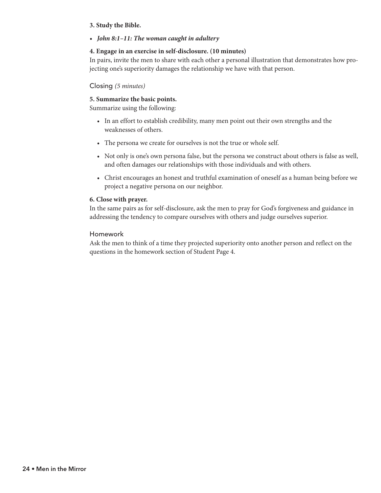#### **3. Study the Bible.**

*• John 8:1–11: The woman caught in adultery*

# **4. Engage in an exercise in self-disclosure. (10 minutes)**

In pairs, invite the men to share with each other a personal illustration that demonstrates how projecting one's superiority damages the relationship we have with that person.

#### Closing *(5 minutes)*

#### **5. Summarize the basic points.**

Summarize using the following:

- In an effort to establish credibility, many men point out their own strengths and the weaknesses of others.
- The persona we create for ourselves is not the true or whole self.
- Not only is one's own persona false, but the persona we construct about others is false as well, and often damages our relationships with those individuals and with others.
- Christ encourages an honest and truthful examination of oneself as a human being before we project a negative persona on our neighbor.

#### **6. Close with prayer.**

In the same pairs as for self-disclosure, ask the men to pray for God's forgiveness and guidance in addressing the tendency to compare ourselves with others and judge ourselves superior.

#### Homework

Ask the men to think of a time they projected superiority onto another person and reflect on the questions in the homework section of Student Page 4.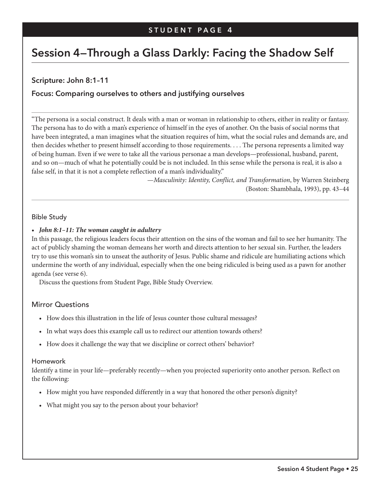# **Session 4—Through a Glass Darkly: Facing the Shadow Self**

# **Scripture: John 8:1–11**

# **Focus: Comparing ourselves to others and justifying ourselves**

"The persona is a social construct. It deals with a man or woman in relationship to others, either in reality or fantasy. The persona has to do with a man's experience of himself in the eyes of another. On the basis of social norms that have been integrated, a man imagines what the situation requires of him, what the social rules and demands are, and then decides whether to present himself according to those requirements. . . . The persona represents a limited way of being human. Even if we were to take all the various personae a man develops—professional, husband, parent, and so on—much of what he potentially could be is not included. In this sense while the persona is real, it is also a false self, in that it is not a complete reflection of a man's individuality."

> —*Masculinity: Identity, Conflict, and Transformation*, by Warren Steinberg (Boston: Shambhala, 1993), pp. 43–44

#### Bible Study

#### *• John 8:1–11: The woman caught in adultery*

In this passage, the religious leaders focus their attention on the sins of the woman and fail to see her humanity. The act of publicly shaming the woman demeans her worth and directs attention to her sexual sin. Further, the leaders try to use this woman's sin to unseat the authority of Jesus. Public shame and ridicule are humiliating actions which undermine the worth of any individual, especially when the one being ridiculed is being used as a pawn for another agenda (see verse 6).

Discuss the questions from Student Page, Bible Study Overview.

# Mirror Questions

- How does this illustration in the life of Jesus counter those cultural messages?
- In what ways does this example call us to redirect our attention towards others?
- How does it challenge the way that we discipline or correct others' behavior?

#### Homework

Identify a time in your life—preferably recently—when you projected superiority onto another person. Reflect on the following:

- How might you have responded differently in a way that honored the other person's dignity?
- What might you say to the person about your behavior?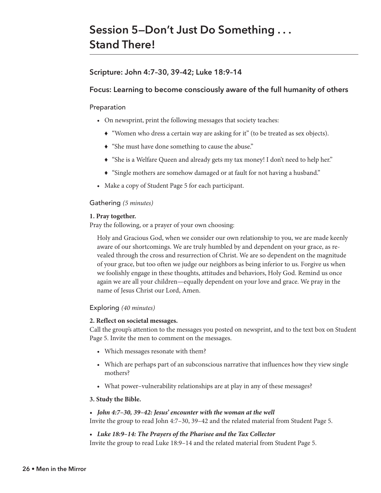# **Session 5—Don't Just Do Something . . . Stand There!**

# **Scripture: John 4:7–30, 39–42; Luke 18:9–14**

# **Focus: Learning to become consciously aware of the full humanity of others**

#### Preparation

- On newsprint, print the following messages that society teaches:
	- © "Women who dress a certain way are asking for it" (to be treated as sex objects).
	- © "She must have done something to cause the abuse."
	- © "She is a Welfare Queen and already gets my tax money! I don't need to help her."
	- © "Single mothers are somehow damaged or at fault for not having a husband."
- Make a copy of Student Page 5 for each participant.

#### Gathering *(5 minutes)*

#### **1. Pray together.**

Pray the following, or a prayer of your own choosing:

Holy and Gracious God, when we consider our own relationship to you, we are made keenly aware of our shortcomings. We are truly humbled by and dependent on your grace, as revealed through the cross and resurrection of Christ. We are so dependent on the magnitude of your grace, but too often we judge our neighbors as being inferior to us. Forgive us when we foolishly engage in these thoughts, attitudes and behaviors, Holy God. Remind us once again we are all your children—equally dependent on your love and grace. We pray in the name of Jesus Christ our Lord, Amen.

# Exploring *(40 minutes)*

#### **2. Reflect on societal messages.**

Call the group's attention to the messages you posted on newsprint, and to the text box on Student Page 5. Invite the men to comment on the messages.

- Which messages resonate with them?
- Which are perhaps part of an subconscious narrative that influences how they view single mothers?
- What power–vulnerability relationships are at play in any of these messages?

#### **3. Study the Bible.**

- *John 4:7–30, 39–42: Jesus' encounter with the woman at the well* Invite the group to read John 4:7–30, 39–42 and the related material from Student Page 5.
- *Luke 18:9–14: The Prayers of the Pharisee and the Tax Collector*

Invite the group to read Luke 18:9–14 and the related material from Student Page 5.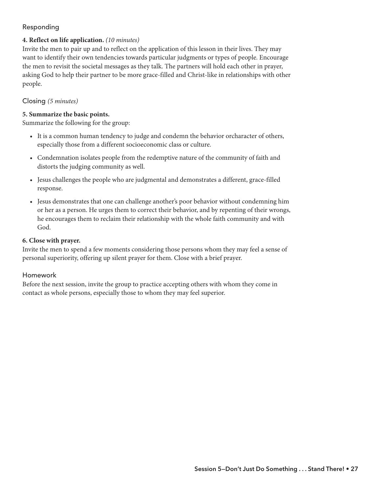# Responding

## **4. Reflect on life application.** *(10 minutes)*

Invite the men to pair up and to reflect on the application of this lesson in their lives. They may want to identify their own tendencies towards particular judgments or types of people. Encourage the men to revisit the societal messages as they talk. The partners will hold each other in prayer, asking God to help their partner to be more grace-filled and Christ-like in relationships with other people.

#### Closing *(5 minutes)*

#### **5. Summarize the basic points.**

Summarize the following for the group:

- It is a common human tendency to judge and condemn the behavior orcharacter of others, especially those from a different socioeconomic class or culture.
- Condemnation isolates people from the redemptive nature of the community of faith and distorts the judging community as well.
- Jesus challenges the people who are judgmental and demonstrates a different, grace-filled response.
- Jesus demonstrates that one can challenge another's poor behavior without condemning him or her as a person. He urges them to correct their behavior, and by repenting of their wrongs, he encourages them to reclaim their relationship with the whole faith community and with God.

#### **6. Close with prayer.**

Invite the men to spend a few moments considering those persons whom they may feel a sense of personal superiority, offering up silent prayer for them. Close with a brief prayer.

#### Homework

Before the next session, invite the group to practice accepting others with whom they come in contact as whole persons, especially those to whom they may feel superior.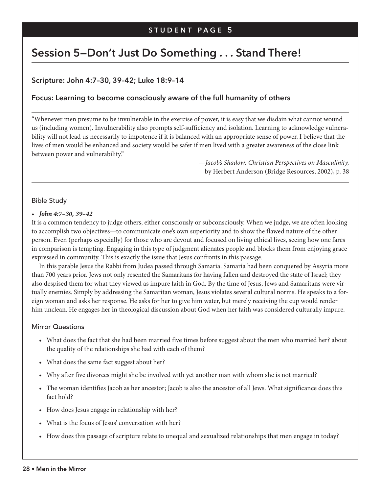# **Session 5—Don't Just Do Something . . . Stand There!**

# **Scripture: John 4:7–30, 39–42; Luke 18:9–14**

# **Focus: Learning to become consciously aware of the full humanity of others**

"Whenever men presume to be invulnerable in the exercise of power, it is easy that we disdain what cannot wound us (including women). Invulnerability also prompts self-sufficiency and isolation. Learning to acknowledge vulnerability will not lead us necessarily to impotence if it is balanced with an appropriate sense of power. I believe that the lives of men would be enhanced and society would be safer if men lived with a greater awareness of the close link between power and vulnerability."

> —*Jacob's Shadow: Christian Perspectives on Masculinity,*  by Herbert Anderson (Bridge Resources, 2002), p. 38

# Bible Study

#### *• John 4:7–30, 39–42*

It is a common tendency to judge others, either consciously or subconsciously. When we judge, we are often looking to accomplish two objectives—to communicate one's own superiority and to show the flawed nature of the other person. Even (perhaps especially) for those who are devout and focused on living ethical lives, seeing how one fares in comparison is tempting. Engaging in this type of judgment alienates people and blocks them from enjoying grace expressed in community. This is exactly the issue that Jesus confronts in this passage.

In this parable Jesus the Rabbi from Judea passed through Samaria. Samaria had been conquered by Assyria more than 700 years prior. Jews not only resented the Samaritans for having fallen and destroyed the state of Israel; they also despised them for what they viewed as impure faith in God. By the time of Jesus, Jews and Samaritans were virtually enemies. Simply by addressing the Samaritan woman, Jesus violates several cultural norms. He speaks to a foreign woman and asks her response. He asks for her to give him water, but merely receiving the cup would render him unclean. He engages her in theological discussion about God when her faith was considered culturally impure.

#### Mirror Questions

- What does the fact that she had been married five times before suggest about the men who married her? about the quality of the relationships she had with each of them?
- What does the same fact suggest about her?
- Why after five divorces might she be involved with yet another man with whom she is not married?
- The woman identifies Jacob as her ancestor; Jacob is also the ancestor of all Jews. What significance does this fact hold?
- How does Jesus engage in relationship with her?
- What is the focus of Jesus' conversation with her?
- How does this passage of scripture relate to unequal and sexualized relationships that men engage in today?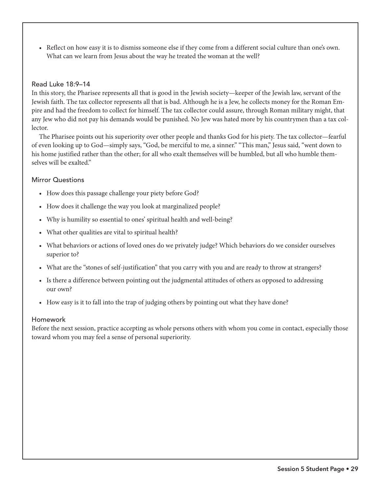• Reflect on how easy it is to dismiss someone else if they come from a different social culture than one's own. What can we learn from Jesus about the way he treated the woman at the well?

## Read Luke 18:9–14

In this story, the Pharisee represents all that is good in the Jewish society—keeper of the Jewish law, servant of the Jewish faith. The tax collector represents all that is bad. Although he is a Jew, he collects money for the Roman Empire and had the freedom to collect for himself. The tax collector could assure, through Roman military might, that any Jew who did not pay his demands would be punished. No Jew was hated more by his countrymen than a tax collector.

The Pharisee points out his superiority over other people and thanks God for his piety. The tax collector—fearful of even looking up to God—simply says, "God, be merciful to me, a sinner." "This man," Jesus said, "went down to his home justified rather than the other; for all who exalt themselves will be humbled, but all who humble themselves will be exalted"

#### Mirror Questions

- How does this passage challenge your piety before God?
- How does it challenge the way you look at marginalized people?
- Why is humility so essential to ones' spiritual health and well-being?
- What other qualities are vital to spiritual health?
- What behaviors or actions of loved ones do we privately judge? Which behaviors do we consider ourselves superior to?
- What are the "stones of self-justification" that you carry with you and are ready to throw at strangers?
- Is there a difference between pointing out the judgmental attitudes of others as opposed to addressing our own?
- How easy is it to fall into the trap of judging others by pointing out what they have done?

#### Homework

Before the next session, practice accepting as whole persons others with whom you come in contact, especially those toward whom you may feel a sense of personal superiority.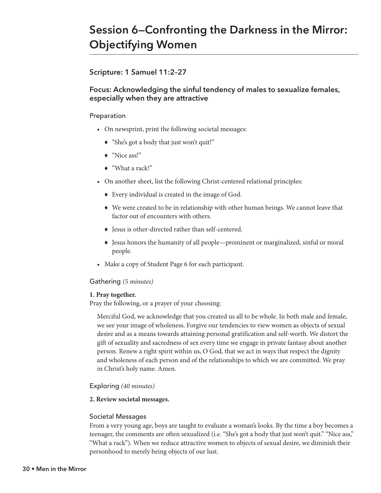# **Session 6—Confronting the Darkness in the Mirror: Objectifying Women**

# **Scripture: 1 Samuel 11:2–27**

# **Focus: Acknowledging the sinful tendency of males to sexualize females, especially when they are attractive**

## Preparation

- On newsprint, print the following societal messages:
	- ◆ "She's got a body that just won't quit!"
	- ◆ "Nice ass!"
	- ◆ "What a rack!"
- On another sheet, list the following Christ-centered relational principles:
	- © Every individual is created in the image of God.
	- $\blacklozenge$  We were created to be in relationship with other human beings. We cannot leave that factor out of encounters with others.
	- © Jesus is other-directed rather than self-centered.
	- © Jesus honors the humanity of all people—prominent or marginalized, sinful or moral people.
- Make a copy of Student Page 6 for each participant.

#### Gathering *(5 minutes)*

#### **1. Pray together.**

Pray the following, or a prayer of your choosing:

Merciful God, we acknowledge that you created us all to be whole. In both male and female, we see your image of wholeness. Forgive our tendencies to view women as objects of sexual desire and as a means towards attaining personal gratification and self-worth. We distort the gift of sexuality and sacredness of sex every time we engage in private fantasy about another person. Renew a right spirit within us, O God, that we act in ways that respect the dignity and wholeness of each person and of the relationships to which we are committed. We pray in Christ's holy name. Amen.

# Exploring *(40 minutes)*

#### **2. Review societal messages.**

#### Societal Messages

From a very young age, boys are taught to evaluate a woman's looks. By the time a boy becomes a teenager, the comments are often sexualized (i.e. "She's got a body that just won't quit." "Nice ass," "What a rack"). When we reduce attractive women to objects of sexual desire, we diminish their personhood to merely being objects of our lust.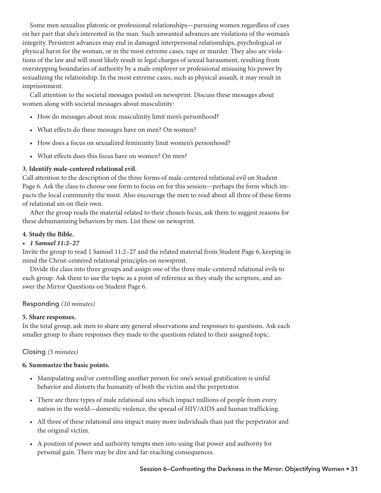Some men sexualize platonic or professional relationships—pursuing women regardless of cues on her part that she's interested in the man. Such unwanted advances are violations of the woman's integrity. Persistent advances may end in damaged interpersonal relationships, psychological or physical harm for the woman, or in the most extreme cases, rape or murder. They also are violations of the law and will most likely result in legal charges of sexual harassment, resulting from overstepping boundaries of authority by a male employer or professional misusing his power by sexualizing the relationship. In the most extreme cases, such as physical assault, it may result in imprisonment.

Call attention to the societal messages posted on newsprint. Discuss these messages about women along with societal messages about masculinity:

- How do messages about stoic masculinity limit men's personhood?
- What effects do these messages have on men? On women?
- How does a focus on sexualized femininity limit women's personhood?
- What effects does this focus have on women? On men?

#### **3. Identify male-centered relational evil.**

Call attention to the description of the three forms of male-centered relational evil on Student Page 6. Ask the class to choose one form to focus on for this session—perhaps the form which impacts the local community the most. Also encourage the men to read about all three of these forms of relational sin on their own.

After the group reads the material related to their chosen focus, ask them to suggest reasons for these dehumanizing behaviors by men. List these on newsprint.

#### **4. Study the Bible.**

#### *• 1 Samuel 11:2–27*

Invite the group to read 1 Samuel 11:2–27 and the related material from Student Page 6, keeping in mind the Christ-centered relational principles on newsprint.

Divide the class into three groups and assign one of the three male-centered relational evils to each group. Ask them to use the topic as a point of reference as they study the scripture, and answer the Mirror Questions on Student Page 6.

# Responding *(10 minutes)*

#### **5. Share responses.**

In the total group, ask men to share any general observations and responses to questions. Ask each smaller group to share responses they made to the questions related to their assigned topic.

# Closing *(5 minutes)*

#### **6. Summarize the basic points.**

- Manipulating and/or controlling another person for one's sexual gratification is sinful behavior and distorts the humanity of both the victim and the perpetrator.
- There are three types of male relational sins which impact millions of people from every nation in the world—domestic violence, the spread of HIV/AIDS and human trafficking.
- All three of these relational sins impact many more individuals than just the perpetrator and the original victim.
- A position of power and authority tempts men into using that power and authority for personal gain. There may be dire and far-reaching consequences.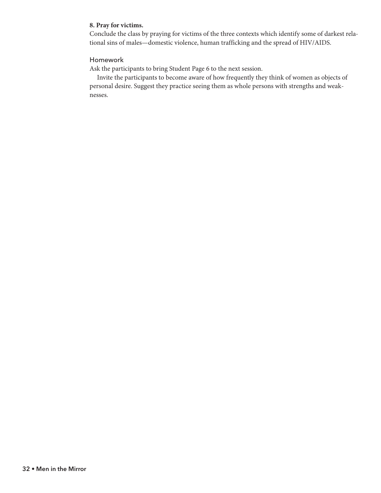#### **8. Pray for victims.**

Conclude the class by praying for victims of the three contexts which identify some of darkest relational sins of males—domestic violence, human trafficking and the spread of HIV/AIDS.

# Homework

Ask the participants to bring Student Page 6 to the next session.

Invite the participants to become aware of how frequently they think of women as objects of personal desire. Suggest they practice seeing them as whole persons with strengths and weaknesses.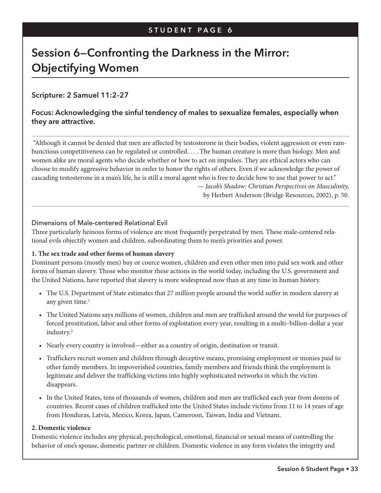# **Session 6—Confronting the Darkness in the Mirror: Objectifying Women**

# **Scripture: 2 Samuel 11:2–27**

# **Focus: Acknowledging the sinful tendency of males to sexualize females, especially when they are attractive.**

"Although it cannot be denied that men are affected by testosterone in their bodies, violent aggression or even rambunctious competitiveness can be regulated or controlled. . . . The human creature is more than biology. Men and women alike are moral agents who decide whether or how to act on impulses. They are ethical actors who can choose to modify aggressive behavior in order to honor the rights of others. Even if we acknowledge the power of cascading testosterone in a man's life, he is still a moral agent who is free to decide how to use that power to act."

> — *Jacob's Shadow: Christian Perspectives on Masculinity,*  by Herbert Anderson (Bridge Resources, 2002), p. 50.

#### Dimensions of Male-centered Relational Evil

Three particularly heinous forms of violence are most frequently perpetrated by men. These male-centered relational evils objectify women and children, subordinating them to men's priorities and power.

### **1. The sex trade and other forms of human slavery**

Dominant persons (mostly men) buy or coerce women, children and even other men into paid sex work and other forms of human slavery. Those who monitor these actions in the world today, including the U.S. government and the United Nations, have reported that slavery is more widespread now than at any time in human history.

- The U.S. Department of State estimates that 27 million people around the world suffer in modern slavery at any given time.<sup>1</sup>
- The United Nations says millions of women, children and men are trafficked around the world for purposes of forced prostitution, labor and other forms of exploitation every year, resulting in a multi–billion-dollar a year industry.2
- Nearly every country is involved—either as a country of origin, destination or transit.
- Traffickers recruit women and children through deceptive means, promising employment or monies paid to other family members. In impoverished countries, family members and friends think the employment is legitimate and deliver the trafficking victims into highly sophisticated networks in which the victim disappears.
- In the United States, tens of thousands of women, children and men are trafficked each year from dozens of countries. Recent cases of children trafficked into the United States include victims from 11 to 14 years of age from Honduras, Latvia, Mexico, Korea, Japan, Cameroon, Taiwan, India and Vietnam.

#### **2. Domestic violence**

Domestic violence includes any physical, psychological, emotional, financial or sexual means of controlling the behavior of one's spouse, domestic partner or children. Domestic violence in any form violates the integrity and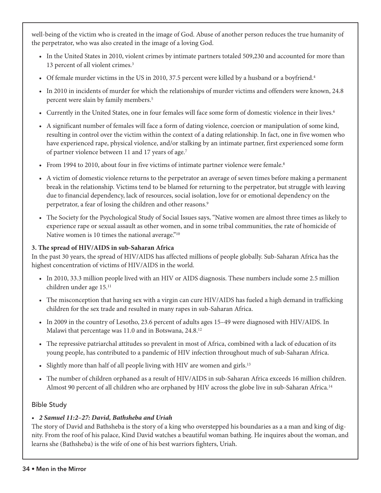well-being of the victim who is created in the image of God. Abuse of another person reduces the true humanity of the perpetrator, who was also created in the image of a loving God.

- In the United States in 2010, violent crimes by intimate partners totaled 509,230 and accounted for more than 13 percent of all violent crimes.3
- Of female murder victims in the US in 2010, 37.5 percent were killed by a husband or a boyfriend.<sup>4</sup>
- In 2010 in incidents of murder for which the relationships of murder victims and offenders were known, 24.8 percent were slain by family members.<sup>5</sup>
- Currently in the United States, one in four females will face some form of domestic violence in their lives.6
- A significant number of females will face a form of dating violence, coercion or manipulation of some kind, resulting in control over the victim within the context of a dating relationship. In fact, one in five women who have experienced rape, physical violence, and/or stalking by an intimate partner, first experienced some form of partner violence between 11 and 17 years of age.7
- From 1994 to 2010, about four in five victims of intimate partner violence were female.<sup>8</sup>
- A victim of domestic violence returns to the perpetrator an average of seven times before making a permanent break in the relationship. Victims tend to be blamed for returning to the perpetrator, but struggle with leaving due to financial dependency, lack of resources, social isolation, love for or emotional dependency on the perpetrator, a fear of losing the children and other reasons.<sup>9</sup>
- The Society for the Psychological Study of Social Issues says, "Native women are almost three times as likely to experience rape or sexual assault as other women, and in some tribal communities, the rate of homicide of Native women is 10 times the national average."<sup>10</sup>

# **3. The spread of HIV/AIDS in sub-Saharan Africa**

In the past 30 years, the spread of HIV/AIDS has affected millions of people globally. Sub-Saharan Africa has the highest concentration of victims of HIV/AIDS in the world.

- In 2010, 33.3 million people lived with an HIV or AIDS diagnosis. These numbers include some 2.5 million children under age 15.11
- The misconception that having sex with a virgin can cure HIV/AIDS has fueled a high demand in trafficking children for the sex trade and resulted in many rapes in sub-Saharan Africa.
- In 2009 in the country of Lesotho, 23.6 percent of adults ages 15–49 were diagnosed with HIV/AIDS. In Malawi that percentage was 11.0 and in Botswana, 24.8.12
- The repressive patriarchal attitudes so prevalent in most of Africa, combined with a lack of education of its young people, has contributed to a pandemic of HIV infection throughout much of sub-Saharan Africa.
- Slightly more than half of all people living with HIV are women and girls.<sup>13</sup>
- The number of children orphaned as a result of HIV/AIDS in sub-Saharan Africa exceeds 16 million children. Almost 90 percent of all children who are orphaned by HIV across the globe live in sub-Saharan Africa.14

# Bible Study

# *• 2 Samuel 11:2–27: David, Bathsheba and Uriah*

The story of David and Bathsheba is the story of a king who overstepped his boundaries as a a man and king of dignity. From the roof of his palace, Kind David watches a beautiful woman bathing. He inquires about the woman, and learns she (Bathsheba) is the wife of one of his best warriors fighters, Uriah.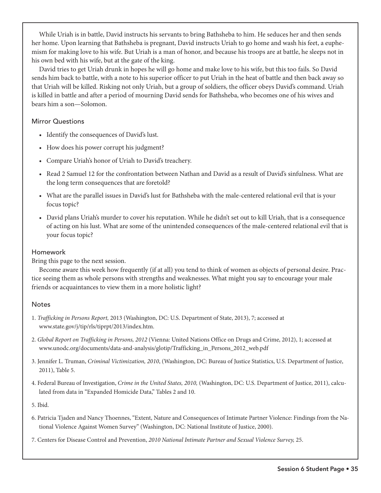While Uriah is in battle, David instructs his servants to bring Bathsheba to him. He seduces her and then sends her home. Upon learning that Bathsheba is pregnant, David instructs Uriah to go home and wash his feet, a euphemism for making love to his wife. But Uriah is a man of honor, and because his troops are at battle, he sleeps not in his own bed with his wife, but at the gate of the king.

David tries to get Uriah drunk in hopes he will go home and make love to his wife, but this too fails. So David sends him back to battle, with a note to his superior officer to put Uriah in the heat of battle and then back away so that Uriah will be killed. Risking not only Uriah, but a group of soldiers, the officer obeys David's command. Uriah is killed in battle and after a period of mourning David sends for Bathsheba, who becomes one of his wives and bears him a son—Solomon.

# Mirror Questions

- Identify the consequences of David's lust.
- How does his power corrupt his judgment?
- Compare Uriah's honor of Uriah to David's treachery.
- Read 2 Samuel 12 for the confrontation between Nathan and David as a result of David's sinfulness. What are the long term consequences that are foretold?
- What are the parallel issues in David's lust for Bathsheba with the male-centered relational evil that is your focus topic?
- David plans Uriah's murder to cover his reputation. While he didn't set out to kill Uriah, that is a consequence of acting on his lust. What are some of the unintended consequences of the male-centered relational evil that is your focus topic?

# Homework

Bring this page to the next session.

Become aware this week how frequently (if at all) you tend to think of women as objects of personal desire. Practice seeing them as whole persons with strengths and weaknesses. What might you say to encourage your male friends or acquaintances to view them in a more holistic light?

# **Notes**

- 1. *Trafficking in Persons Report,* 2013 (Washington, DC: U.S. Department of State, 2013), 7; accessed at www.state.gov/j/tip/rls/tiprpt/2013/index.htm.
- 2. *Global Report on Trafficking in Persons, 2012* (Vienna: United Nations Office on Drugs and Crime, 2012), 1; accessed at www.unodc.org/documents/data-and-analysis/glotip/Trafficking\_in\_Persons\_2012\_web.pdf
- 3. Jennifer L. Truman, *Criminal Victimization, 2010*, (Washington, DC: Bureau of Justice Statistics, U.S. Department of Justice, 2011), Table 5.
- 4. Federal Bureau of Investigation, *Crime in the United States, 2010,* (Washington, DC: U.S. Department of Justice, 2011), calculated from data in "Expanded Homicide Data," Tables 2 and 10.

5. Ibid.

6. Patricia Tjaden and Nancy Thoennes, "Extent, Nature and Consequences of Intimate Partner Violence: Findings from the National Violence Against Women Survey" (Washington, DC: National Institute of Justice, 2000).

7. Centers for Disease Control and Prevention, *2010 National Intimate Partner and Sexual Violence Survey,* 25.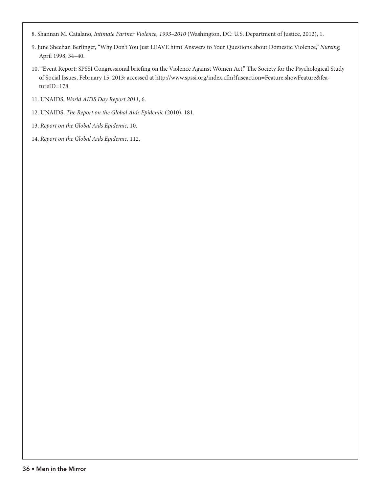- 8. Shannan M. Catalano, *Intimate Partner Violence, 1993–2010* (Washington, DC: U.S. Department of Justice, 2012), 1.
- 9. June Sheehan Berlinger, "Why Don't You Just LEAVE him? Answers to Your Questions about Domestic Violence," *Nursing,* April 1998, 34–40.
- 10. "Event Report: SPSSI Congressional briefing on the Violence Against Women Act," The Society for the Psychological Study of Social Issues, February 15, 2013; accessed at http://www.spssi.org/index.cfm?fuseaction=Feature.showFeature&featureID=178.
- 11. UNAIDS, *World AIDS Day Report 2011*, 6.
- 12. UNAIDS, *The Report on the Global Aids Epidemic* (2010), 181.
- 13. *Report on the Global Aids Epidemic,* 10.
- 14. *Report on the Global Aids Epidemic,* 112.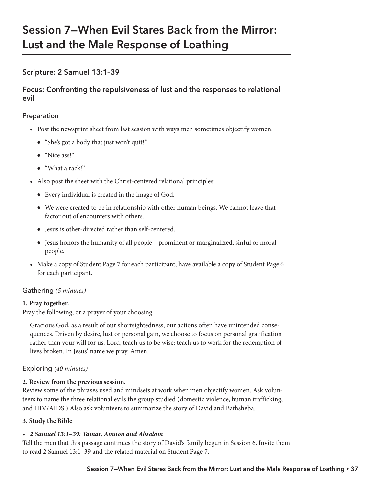# **Session 7—When Evil Stares Back from the Mirror: Lust and the Male Response of Loathing**

# **Scripture: 2 Samuel 13:1–39**

# **Focus: Confronting the repulsiveness of lust and the responses to relational evil**

# Preparation

- Post the newsprint sheet from last session with ways men sometimes objectify women:
	- © "She's got a body that just won't quit!"
	- ◆ "Nice ass!"
	- ◆ "What a rack!"
- Also post the sheet with the Christ-centered relational principles:
	- © Every individual is created in the image of God.
	- © We were created to be in relationship with other human beings. We cannot leave that factor out of encounters with others.
	- © Jesus is other-directed rather than self-centered.
	- © Jesus honors the humanity of all people—prominent or marginalized, sinful or moral people.
- Make a copy of Student Page 7 for each participant; have available a copy of Student Page 6 for each participant.

# Gathering *(5 minutes)*

# **1. Pray together.**

Pray the following, or a prayer of your choosing:

Gracious God, as a result of our shortsightedness, our actions often have unintended consequences. Driven by desire, lust or personal gain, we choose to focus on personal gratification rather than your will for us. Lord, teach us to be wise; teach us to work for the redemption of lives broken. In Jesus' name we pray. Amen.

# Exploring *(40 minutes)*

# **2. Review from the previous session.**

Review some of the phrases used and mindsets at work when men objectify women. Ask volunteers to name the three relational evils the group studied (domestic violence, human trafficking, and HIV/AIDS.) Also ask volunteers to summarize the story of David and Bathsheba.

# **3. Study the Bible**

# *• 2 Samuel 13:1–39: Tamar, Amnon and Absalom*

Tell the men that this passage continues the story of David's family begun in Session 6. Invite them to read 2 Samuel 13:1–39 and the related material on Student Page 7.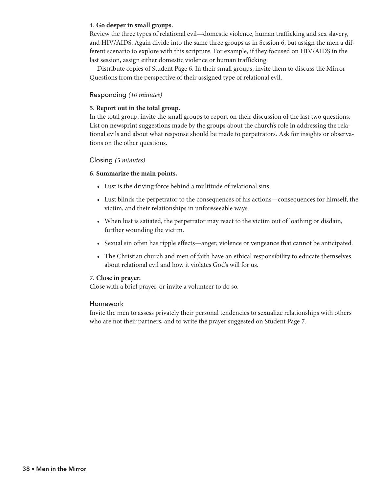#### **4. Go deeper in small groups.**

Review the three types of relational evil—domestic violence, human trafficking and sex slavery, and HIV/AIDS. Again divide into the same three groups as in Session 6, but assign the men a different scenario to explore with this scripture. For example, if they focused on HIV/AIDS in the last session, assign either domestic violence or human trafficking.

Distribute copies of Student Page 6. In their small groups, invite them to discuss the Mirror Questions from the perspective of their assigned type of relational evil.

#### Responding *(10 minutes)*

#### **5. Report out in the total group.**

In the total group, invite the small groups to report on their discussion of the last two questions. List on newsprint suggestions made by the groups about the church's role in addressing the relational evils and about what response should be made to perpetrators. Ask for insights or observations on the other questions.

#### Closing *(5 minutes)*

#### **6. Summarize the main points.**

- Lust is the driving force behind a multitude of relational sins.
- Lust blinds the perpetrator to the consequences of his actions—consequences for himself, the victim, and their relationships in unforeseeable ways.
- When lust is satiated, the perpetrator may react to the victim out of loathing or disdain, further wounding the victim.
- Sexual sin often has ripple effects—anger, violence or vengeance that cannot be anticipated.
- The Christian church and men of faith have an ethical responsibility to educate themselves about relational evil and how it violates God's will for us.

#### **7. Close in prayer.**

Close with a brief prayer, or invite a volunteer to do so.

#### Homework

Invite the men to assess privately their personal tendencies to sexualize relationships with others who are not their partners, and to write the prayer suggested on Student Page 7.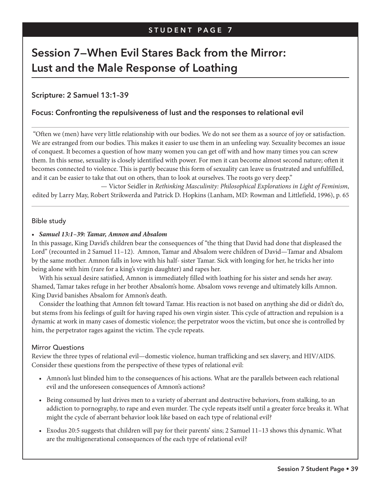# **Session 7—When Evil Stares Back from the Mirror: Lust and the Male Response of Loathing**

# **Scripture: 2 Samuel 13:1–39**

# **Focus: Confronting the repulsiveness of lust and the responses to relational evil**

"Often we (men) have very little relationship with our bodies. We do not see them as a source of joy or satisfaction. We are estranged from our bodies. This makes it easier to use them in an unfeeling way. Sexuality becomes an issue of conquest. It becomes a question of how many women you can get off with and how many times you can screw them. In this sense, sexuality is closely identified with power. For men it can become almost second nature; often it becomes connected to violence. This is partly because this form of sexuality can leave us frustrated and unfulfilled, and it can be easier to take that out on others, than to look at ourselves. The roots go very deep."

— Victor Seidler in *Rethinking Masculinity: Philosophical Explorations in Light of Feminism*, edited by Larry May, Robert Strikwerda and Patrick D. Hopkins (Lanham, MD: Rowman and Littlefield, 1996), p. 65

#### Bible study

#### *• Samuel 13:1–39: Tamar, Amnon and Absalom*

In this passage, King David's children bear the consequences of "the thing that David had done that displeased the Lord" (recounted in 2 Samuel 11–12). Amnon, Tamar and Absalom were children of David—Tamar and Absalom by the same mother. Amnon falls in love with his half- sister Tamar. Sick with longing for her, he tricks her into being alone with him (rare for a king's virgin daughter) and rapes her.

With his sexual desire satisfied, Amnon is immediately filled with loathing for his sister and sends her away. Shamed, Tamar takes refuge in her brother Absalom's home. Absalom vows revenge and ultimately kills Amnon. King David banishes Absalom for Amnon's death.

Consider the loathing that Amnon felt toward Tamar. His reaction is not based on anything she did or didn't do, but stems from his feelings of guilt for having raped his own virgin sister. This cycle of attraction and repulsion is a dynamic at work in many cases of domestic violence; the perpetrator woos the victim, but once she is controlled by him, the perpetrator rages against the victim. The cycle repeats.

# Mirror Questions

Review the three types of relational evil—domestic violence, human trafficking and sex slavery, and HIV/AIDS. Consider these questions from the perspective of these types of relational evil:

- Amnon's lust blinded him to the consequences of his actions. What are the parallels between each relational evil and the unforeseen consequences of Amnon's actions?
- Being consumed by lust drives men to a variety of aberrant and destructive behaviors, from stalking, to an addiction to pornography, to rape and even murder. The cycle repeats itself until a greater force breaks it. What might the cycle of aberrant behavior look like based on each type of relational evil?
- Exodus 20:5 suggests that children will pay for their parents' sins; 2 Samuel 11–13 shows this dynamic. What are the multigenerational consequences of the each type of relational evil?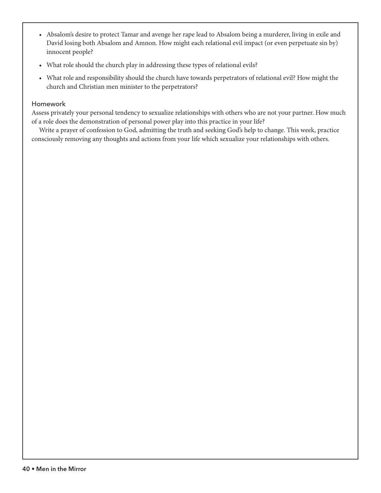- Absalom's desire to protect Tamar and avenge her rape lead to Absalom being a murderer, living in exile and David losing both Absalom and Amnon. How might each relational evil impact (or even perpetuate sin by) innocent people?
- What role should the church play in addressing these types of relational evils?
- What role and responsibility should the church have towards perpetrators of relational evil? How might the church and Christian men minister to the perpetrators?

# Homework

Assess privately your personal tendency to sexualize relationships with others who are not your partner. How much of a role does the demonstration of personal power play into this practice in your life?

Write a prayer of confession to God, admitting the truth and seeking God's help to change. This week, practice consciously removing any thoughts and actions from your life which sexualize your relationships with others.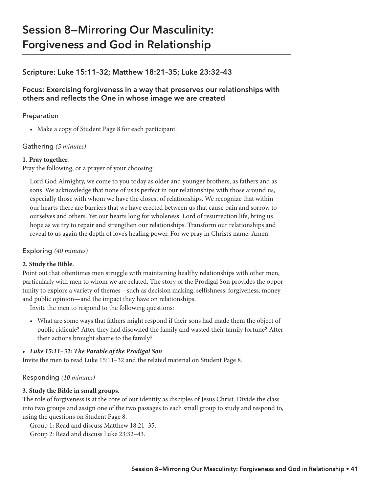# **Session 8—Mirroring Our Masculinity: Forgiveness and God in Relationship**

# **Scripture: Luke 15:11–32; Matthew 18:21–35; Luke 23:32–43**

# **Focus: Exercising forgiveness in a way that preserves our relationships with others and reflects the One in whose image we are created**

# Preparation

• Make a copy of Student Page 8 for each participant.

# Gathering *(5 minutes)*

# **1. Pray together.**

Pray the following, or a prayer of your choosing:

Lord God Almighty, we come to you today as older and younger brothers, as fathers and as sons. We acknowledge that none of us is perfect in our relationships with those around us, especially those with whom we have the closest of relationships. We recognize that within our hearts there are barriers that we have erected between us that cause pain and sorrow to ourselves and others. Yet our hearts long for wholeness. Lord of resurrection life, bring us hope as we try to repair and strengthen our relationships. Transform our relationships and reveal to us again the depth of love's healing power. For we pray in Christ's name. Amen.

# Exploring *(40 minutes)*

# **2. Study the Bible.**

Point out that oftentimes men struggle with maintaining healthy relationships with other men, particularly with men to whom we are related. The story of the Prodigal Son provides the opportunity to explore a variety of themes—such as decision making, selfishness, forgiveness, money and public opinion—and the impact they have on relationships.

Invite the men to respond to the following questions:

• What are some ways that fathers might respond if their sons had made them the object of public ridicule? After they had disowned the family and wasted their family fortune? After their actions brought shame to the family?

# *• Luke 15:11–32: The Parable of the Prodigal Son*

Invite the men to read Luke 15:11–32 and the related material on Student Page 8.

# Responding *(10 minutes)*

# **3. Study the Bible in small groups.**

The role of forgiveness is at the core of our identity as disciples of Jesus Christ. Divide the class into two groups and assign one of the two passages to each small group to study and respond to, using the questions on Student Page 8.

Group 1: Read and discuss Matthew 18:21–35.

Group 2: Read and discuss Luke 23:32–43.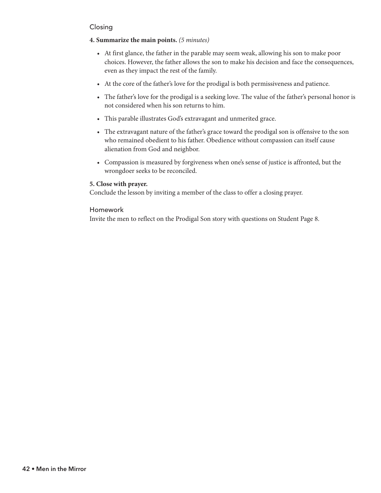# Closing

# **4. Summarize the main points.** *(5 minutes)*

- At first glance, the father in the parable may seem weak, allowing his son to make poor choices. However, the father allows the son to make his decision and face the consequences, even as they impact the rest of the family.
- At the core of the father's love for the prodigal is both permissiveness and patience.
- The father's love for the prodigal is a seeking love. The value of the father's personal honor is not considered when his son returns to him.
- This parable illustrates God's extravagant and unmerited grace.
- The extravagant nature of the father's grace toward the prodigal son is offensive to the son who remained obedient to his father. Obedience without compassion can itself cause alienation from God and neighbor.
- Compassion is measured by forgiveness when one's sense of justice is affronted, but the wrongdoer seeks to be reconciled.

# **5. Close with prayer.**

Conclude the lesson by inviting a member of the class to offer a closing prayer.

# Homework

Invite the men to reflect on the Prodigal Son story with questions on Student Page 8.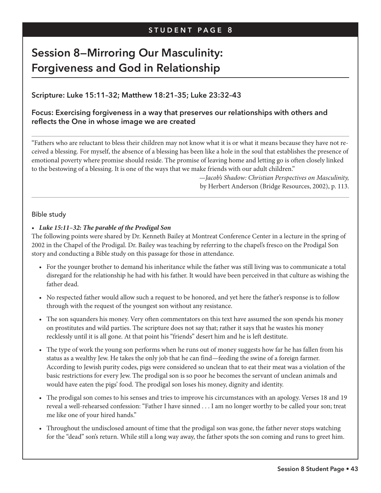# **Session 8—Mirroring Our Masculinity: Forgiveness and God in Relationship**

# **Scripture: Luke 15:11–32; Matthew 18:21–35; Luke 23:32–43**

# **Focus: Exercising forgiveness in a way that preserves our relationships with others and reflects the One in whose image we are created**

"Fathers who are reluctant to bless their children may not know what it is or what it means because they have not received a blessing. For myself, the absence of a blessing has been like a hole in the soul that establishes the presence of emotional poverty where promise should reside. The promise of leaving home and letting go is often closely linked to the bestowing of a blessing. It is one of the ways that we make friends with our adult children."

> *—Jacob's Shadow: Christian Perspectives on Masculinity,* by Herbert Anderson (Bridge Resources, 2002), p. 113.

#### Bible study

#### *• Luke 15:11–32: The parable of the Prodigal Son*

The following points were shared by Dr. Kenneth Bailey at Montreat Conference Center in a lecture in the spring of 2002 in the Chapel of the Prodigal. Dr. Bailey was teaching by referring to the chapel's fresco on the Prodigal Son story and conducting a Bible study on this passage for those in attendance.

- For the younger brother to demand his inheritance while the father was still living was to communicate a total disregard for the relationship he had with his father. It would have been perceived in that culture as wishing the father dead.
- No respected father would allow such a request to be honored, and yet here the father's response is to follow through with the request of the youngest son without any resistance.
- The son squanders his money. Very often commentators on this text have assumed the son spends his money on prostitutes and wild parties. The scripture does not say that; rather it says that he wastes his money recklessly until it is all gone. At that point his "friends" desert him and he is left destitute.
- The type of work the young son performs when he runs out of money suggests how far he has fallen from his status as a wealthy Jew. He takes the only job that he can find—feeding the swine of a foreign farmer. According to Jewish purity codes, pigs were considered so unclean that to eat their meat was a violation of the basic restrictions for every Jew. The prodigal son is so poor he becomes the servant of unclean animals and would have eaten the pigs' food. The prodigal son loses his money, dignity and identity.
- The prodigal son comes to his senses and tries to improve his circumstances with an apology. Verses 18 and 19 reveal a well-rehearsed confession: "Father I have sinned . . . I am no longer worthy to be called your son; treat me like one of your hired hands."
- Throughout the undisclosed amount of time that the prodigal son was gone, the father never stops watching for the "dead" son's return. While still a long way away, the father spots the son coming and runs to greet him.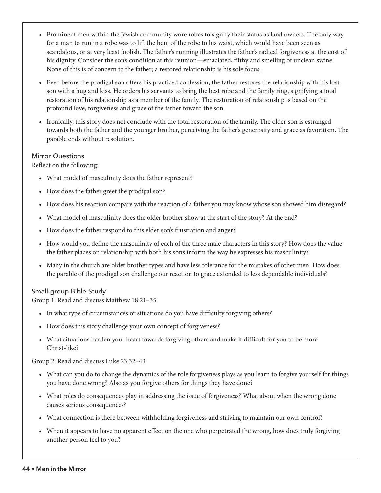- Prominent men within the Jewish community wore robes to signify their status as land owners. The only way for a man to run in a robe was to lift the hem of the robe to his waist, which would have been seen as scandalous, or at very least foolish. The father's running illustrates the father's radical forgiveness at the cost of his dignity. Consider the son's condition at this reunion—emaciated, filthy and smelling of unclean swine. None of this is of concern to the father; a restored relationship is his sole focus.
- Even before the prodigal son offers his practiced confession, the father restores the relationship with his lost son with a hug and kiss. He orders his servants to bring the best robe and the family ring, signifying a total restoration of his relationship as a member of the family. The restoration of relationship is based on the profound love, forgiveness and grace of the father toward the son.
- Ironically, this story does not conclude with the total restoration of the family. The older son is estranged towards both the father and the younger brother, perceiving the father's generosity and grace as favoritism. The parable ends without resolution.

# Mirror Questions

Reflect on the following:

- What model of masculinity does the father represent?
- How does the father greet the prodigal son?
- How does his reaction compare with the reaction of a father you may know whose son showed him disregard?
- What model of masculinity does the older brother show at the start of the story? At the end?
- How does the father respond to this elder son's frustration and anger?
- How would you define the masculinity of each of the three male characters in this story? How does the value the father places on relationship with both his sons inform the way he expresses his masculinity?
- Many in the church are older brother types and have less tolerance for the mistakes of other men. How does the parable of the prodigal son challenge our reaction to grace extended to less dependable individuals?

# Small-group Bible Study

Group 1: Read and discuss Matthew 18:21–35.

- In what type of circumstances or situations do you have difficulty forgiving others?
- How does this story challenge your own concept of forgiveness?
- What situations harden your heart towards forgiving others and make it difficult for you to be more Christ-like?

Group 2: Read and discuss Luke 23:32–43.

- What can you do to change the dynamics of the role forgiveness plays as you learn to forgive yourself for things you have done wrong? Also as you forgive others for things they have done?
- What roles do consequences play in addressing the issue of forgiveness? What about when the wrong done causes serious consequences?
- What connection is there between withholding forgiveness and striving to maintain our own control?
- When it appears to have no apparent effect on the one who perpetrated the wrong, how does truly forgiving another person feel to you?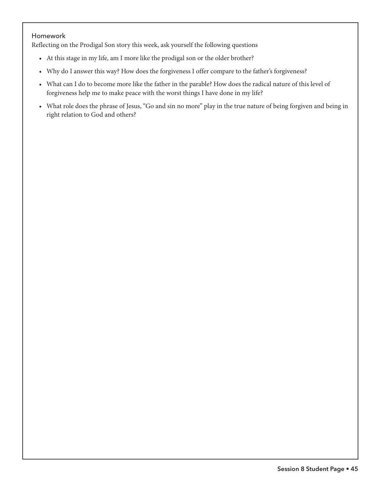#### Homework

Reflecting on the Prodigal Son story this week, ask yourself the following questions

- At this stage in my life, am I more like the prodigal son or the older brother?
- Why do I answer this way? How does the forgiveness I offer compare to the father's forgiveness?
- What can I do to become more like the father in the parable? How does the radical nature of this level of forgiveness help me to make peace with the worst things I have done in my life?
- What role does the phrase of Jesus, "Go and sin no more" play in the true nature of being forgiven and being in right relation to God and others?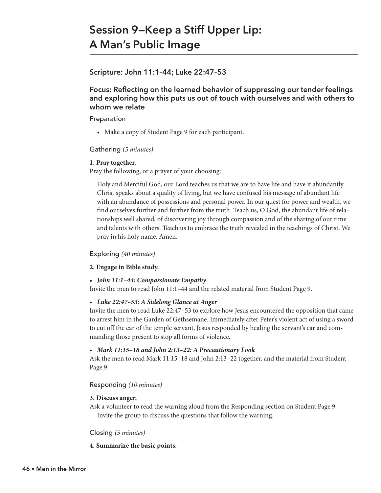# **Session 9—Keep a Stiff Upper Lip: A Man's Public Image**

# **Scripture: John 11:1–44; Luke 22:47–53**

# **Focus: Reflecting on the learned behavior of suppressing our tender feelings and exploring how this puts us out of touch with ourselves and with others to whom we relate**

#### Preparation

• Make a copy of Student Page 9 for each participant.

# Gathering *(5 minutes)*

#### **1. Pray together.**

Pray the following, or a prayer of your choosing:

Holy and Merciful God, our Lord teaches us that we are to have life and have it abundantly. Christ speaks about a quality of living, but we have confused his message of abundant life with an abundance of possessions and personal power. In our quest for power and wealth, we find ourselves further and further from the truth. Teach us, O God, the abundant life of relationships well shared, of discovering joy through compassion and of the sharing of our time and talents with others. Teach us to embrace the truth revealed in the teachings of Christ. We pray in his holy name. Amen.

# Exploring *(40 minutes)*

#### **2. Engage in Bible study.**

#### *• John 11:1–44: Compassionate Empathy*

Invite the men to read John 11:1–44 and the related material from Student Page 9.

#### *• Luke 22:47–53: A Sidelong Glance at Anger*

Invite the men to read Luke 22:47–53 to explore how Jesus encountered the opposition that came to arrest him in the Garden of Gethsemane. Immediately after Peter's violent act of using a sword to cut off the ear of the temple servant, Jesus responded by healing the servant's ear and commanding those present to stop all forms of violence.

#### *• Mark 11:15–18 and John 2:13–22: A Precautionary Look*

Ask the men to read Mark 11:15–18 and John 2:13–22 together, and the material from Student Page 9.

#### Responding *(10 minutes)*

#### **3. Discuss anger.**

Ask a volunteer to read the warning aloud from the Responding section on Student Page 9. Invite the group to discuss the questions that follow the warning.

#### Closing *(5 minutes)*

#### **4. Summarize the basic points.**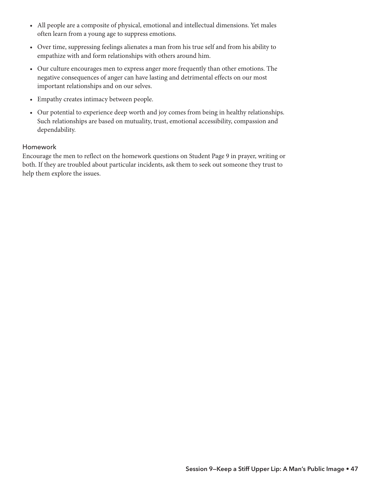- All people are a composite of physical, emotional and intellectual dimensions. Yet males often learn from a young age to suppress emotions.
- Over time, suppressing feelings alienates a man from his true self and from his ability to empathize with and form relationships with others around him.
- Our culture encourages men to express anger more frequently than other emotions. The negative consequences of anger can have lasting and detrimental effects on our most important relationships and on our selves.
- Empathy creates intimacy between people.
- Our potential to experience deep worth and joy comes from being in healthy relationships. Such relationships are based on mutuality, trust, emotional accessibility, compassion and dependability.

# Homework

Encourage the men to reflect on the homework questions on Student Page 9 in prayer, writing or both. If they are troubled about particular incidents, ask them to seek out someone they trust to help them explore the issues.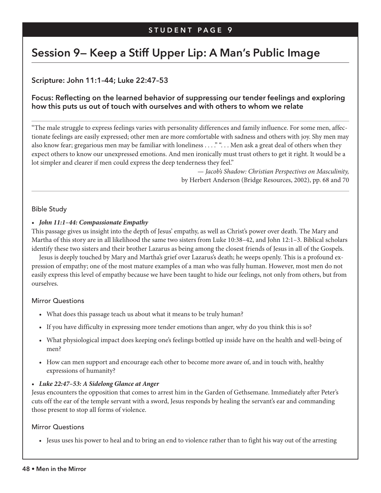# **Session 9— Keep a Stiff Upper Lip: A Man's Public Image**

**Scripture: John 11:1–44; Luke 22:47–53**

# **Focus: Reflecting on the learned behavior of suppressing our tender feelings and exploring how this puts us out of touch with ourselves and with others to whom we relate**

"The male struggle to express feelings varies with personality differences and family influence. For some men, affectionate feelings are easily expressed; other men are more comfortable with sadness and others with joy. Shy men may also know fear; gregarious men may be familiar with loneliness . . . "". . . Men ask a great deal of others when they expect others to know our unexpressed emotions. And men ironically must trust others to get it right. It would be a lot simpler and clearer if men could express the deep tenderness they feel."

> — *Jacob's Shadow: Christian Perspectives on Masculinity,* by Herbert Anderson (Bridge Resources, 2002), pp. 68 and 70

#### Bible Study

#### *• John 11:1–44: Compassionate Empathy*

This passage gives us insight into the depth of Jesus' empathy, as well as Christ's power over death. The Mary and Martha of this story are in all likelihood the same two sisters from Luke 10:38–42, and John 12:1–3. Biblical scholars identify these two sisters and their brother Lazarus as being among the closest friends of Jesus in all of the Gospels.

Jesus is deeply touched by Mary and Martha's grief over Lazarus's death; he weeps openly. This is a profound expression of empathy; one of the most mature examples of a man who was fully human. However, most men do not easily express this level of empathy because we have been taught to hide our feelings, not only from others, but from ourselves.

#### Mirror Questions

- What does this passage teach us about what it means to be truly human?
- If you have difficulty in expressing more tender emotions than anger, why do you think this is so?
- What physiological impact does keeping one's feelings bottled up inside have on the health and well-being of men?
- How can men support and encourage each other to become more aware of, and in touch with, healthy expressions of humanity?

#### *• Luke 22:47–53: A Sidelong Glance at Anger*

Jesus encounters the opposition that comes to arrest him in the Garden of Gethsemane. Immediately after Peter's cuts off the ear of the temple servant with a sword, Jesus responds by healing the servant's ear and commanding those present to stop all forms of violence.

#### Mirror Questions

• Jesus uses his power to heal and to bring an end to violence rather than to fight his way out of the arresting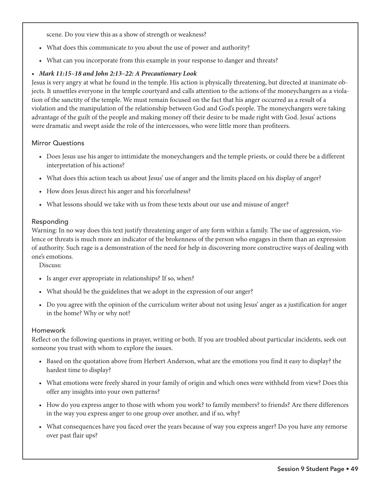scene. Do you view this as a show of strength or weakness?

- What does this communicate to you about the use of power and authority?
- What can you incorporate from this example in your response to danger and threats?

## *• Mark 11:15–18 and John 2:13–22: A Precautionary Look*

Jesus is very angry at what he found in the temple. His action is physically threatening, but directed at inanimate objects. It unsettles everyone in the temple courtyard and calls attention to the actions of the moneychangers as a violation of the sanctity of the temple. We must remain focused on the fact that his anger occurred as a result of a violation and the manipulation of the relationship between God and God's people. The moneychangers were taking advantage of the guilt of the people and making money off their desire to be made right with God. Jesus' actions were dramatic and swept aside the role of the intercessors, who were little more than profiteers.

#### Mirror Questions

- Does Jesus use his anger to intimidate the moneychangers and the temple priests, or could there be a different interpretation of his actions?
- What does this action teach us about Jesus' use of anger and the limits placed on his display of anger?
- How does Jesus direct his anger and his forcefulness?
- What lessons should we take with us from these texts about our use and misuse of anger?

#### Responding

Warning: In no way does this text justify threatening anger of any form within a family. The use of aggression, violence or threats is much more an indicator of the brokenness of the person who engages in them than an expression of authority. Such rage is a demonstration of the need for help in discovering more constructive ways of dealing with one's emotions.

Discuss:

- Is anger ever appropriate in relationships? If so, when?
- What should be the guidelines that we adopt in the expression of our anger?
- Do you agree with the opinion of the curriculum writer about not using Jesus' anger as a justification for anger in the home? Why or why not?

#### Homework

Reflect on the following questions in prayer, writing or both. If you are troubled about particular incidents, seek out someone you trust with whom to explore the issues.

- Based on the quotation above from Herbert Anderson, what are the emotions you find it easy to display? the hardest time to display?
- What emotions were freely shared in your family of origin and which ones were withheld from view? Does this offer any insights into your own patterns?
- How do you express anger to those with whom you work? to family members? to friends? Are there differences in the way you express anger to one group over another, and if so, why?
- What consequences have you faced over the years because of way you express anger? Do you have any remorse over past flair ups?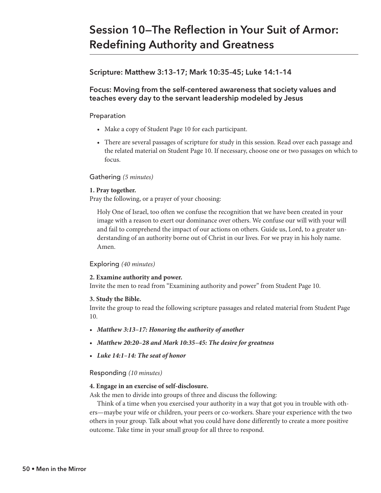# **Session 10—The Reflection in Your Suit of Armor: Redefining Authority and Greatness**

# **Scripture: Matthew 3:13–17; Mark 10:35–45; Luke 14:1–14**

# **Focus: Moving from the self-centered awareness that society values and teaches every day to the servant leadership modeled by Jesus**

## Preparation

- Make a copy of Student Page 10 for each participant.
- There are several passages of scripture for study in this session. Read over each passage and the related material on Student Page 10. If necessary, choose one or two passages on which to focus.

# Gathering *(5 minutes)*

#### **1. Pray together.**

Pray the following, or a prayer of your choosing:

Holy One of Israel, too often we confuse the recognition that we have been created in your image with a reason to exert our dominance over others. We confuse our will with your will and fail to comprehend the impact of our actions on others. Guide us, Lord, to a greater understanding of an authority borne out of Christ in our lives. For we pray in his holy name. Amen.

# Exploring *(40 minutes)*

# **2. Examine authority and power.**

Invite the men to read from "Examining authority and power" from Student Page 10.

#### **3. Study the Bible.**

Invite the group to read the following scripture passages and related material from Student Page 10.

- *Matthew 3:13–17: Honoring the authority of another*
- *Matthew 20:20–28 and Mark 10:35–45: The desire for greatness*
- *Luke 14:1–14: The seat of honor*

# Responding *(10 minutes)*

#### **4. Engage in an exercise of self-disclosure.**

Ask the men to divide into groups of three and discuss the following:

Think of a time when you exercised your authority in a way that got you in trouble with others—maybe your wife or children, your peers or co-workers. Share your experience with the two others in your group. Talk about what you could have done differently to create a more positive outcome. Take time in your small group for all three to respond.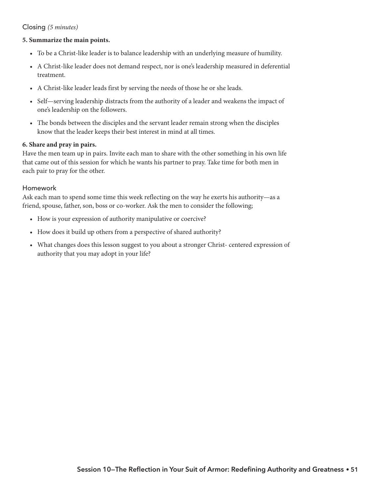# Closing *(5 minutes)*

#### **5. Summarize the main points.**

- To be a Christ-like leader is to balance leadership with an underlying measure of humility.
- A Christ-like leader does not demand respect, nor is one's leadership measured in deferential treatment.
- A Christ-like leader leads first by serving the needs of those he or she leads.
- Self—serving leadership distracts from the authority of a leader and weakens the impact of one's leadership on the followers.
- The bonds between the disciples and the servant leader remain strong when the disciples know that the leader keeps their best interest in mind at all times.

#### **6. Share and pray in pairs.**

Have the men team up in pairs. Invite each man to share with the other something in his own life that came out of this session for which he wants his partner to pray. Take time for both men in each pair to pray for the other.

#### Homework

Ask each man to spend some time this week reflecting on the way he exerts his authority—as a friend, spouse, father, son, boss or co-worker. Ask the men to consider the following;

- How is your expression of authority manipulative or coercive?
- How does it build up others from a perspective of shared authority?
- What changes does this lesson suggest to you about a stronger Christ- centered expression of authority that you may adopt in your life?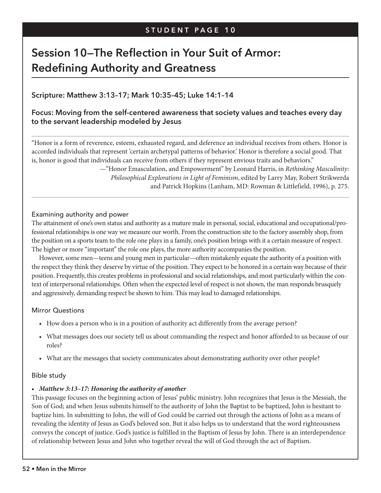# **Session 10—The Reflection in Your Suit of Armor: Redefining Authority and Greatness**

# **Scripture: Matthew 3:13–17; Mark 10:35–45; Luke 14:1–14**

# **Focus: Moving from the self-centered awareness that society values and teaches every day to the servant leadership modeled by Jesus**

"Honor is a form of reverence, esteem, exhausted regard, and deference an individual receives from others. Honor is accorded individuals that represent 'certain archetypal patterns of behavior.' Honor is therefore a social good. That is, honor is good that individuals can receive from others if they represent envious traits and behaviors."

> —"Honor Emasculation, and Empowerment" by Leonard Harris, in *Rethinking Masculinity: Philosophical Explorations in Light of Feminism*, edited by Larry May, Robert Strikwerda and Patrick Hopkins (Lanham, MD: Rowman & Littlefield, 1996), p. 275.

#### Examining authority and power

The attainment of one's own status and authority as a mature male in personal, social, educational and occupational/professional relationships is one way we measure our worth. From the construction site to the factory assembly shop, from the position on a sports team to the role one plays in a family, one's position brings with it a certain measure of respect. The higher or more "important" the role one plays, the more authority accompanies the position.

However, some men—teens and young men in particular—often mistakenly equate the authority of a position with the respect they think they deserve by virtue of the position. They expect to be honored in a certain way because of their position. Frequently, this creates problems in professional and social relationships, and most particularly within the context of interpersonal relationships. Often when the expected level of respect is not shown, the man responds brusquely and aggressively, demanding respect be shown to him. This may lead to damaged relationships.

#### Mirror Questions

- How does a person who is in a position of authority act differently from the average person?
- What messages does our society tell us about commanding the respect and honor afforded to us because of our roles?
- What are the messages that society communicates about demonstrating authority over other people?

# Bible study

# *• Matthew 3:13–17: Honoring the authority of another*

This passage focuses on the beginning action of Jesus' public ministry. John recognizes that Jesus is the Messiah, the Son of God; and when Jesus submits himself to the authority of John the Baptist to be baptized, John is hesitant to baptize him. In submitting to John, the will of God could be carried out through the actions of John as a means of revealing the identity of Jesus as God's beloved son. But it also helps us to understand that the word righteousness conveys the concept of justice. God's justice is fulfilled in the Baptism of Jesus by John. There is an interdependence of relationship between Jesus and John who together reveal the will of God through the act of Baptism.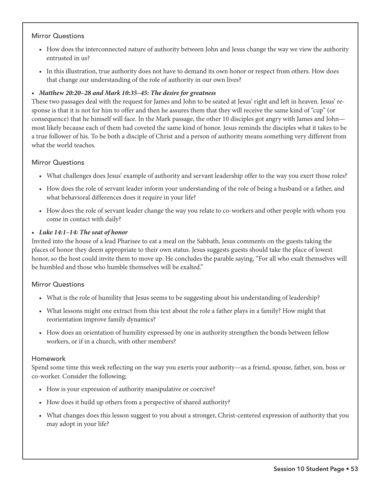# Mirror Questions

- How does the interconnected nature of authority between John and Jesus change the way we view the authority entrusted in us?
- In this illustration, true authority does not have to demand its own honor or respect from others. How does that change our understanding of the role of authority in our own lives?

# *• Matthew 20:20–28 and Mark 10:35–45: The desire for greatness*

These two passages deal with the request for James and John to be seated at Jesus' right and left in heaven. Jesus' response is that it is not for him to offer and then he assures them that they will receive the same kind of "cup" (or consequence) that he himself will face. In the Mark passage, the other 10 disciples got angry with James and John most likely because each of them had coveted the same kind of honor. Jesus reminds the disciples what it takes to be a true follower of his. To be both a disciple of Christ and a person of authority means something very different from what the world teaches.

# Mirror Questions

- What challenges does Jesus' example of authority and servant leadership offer to the way you exert those roles?
- How does the role of servant leader inform your understanding of the role of being a husband or a father, and what behavioral differences does it require in your life?
- How does the role of servant leader change the way you relate to co-workers and other people with whom you come in contact with daily?

# *• Luke 14:1–14: The seat of honor*

Invited into the house of a lead Pharisee to eat a meal on the Sabbath, Jesus comments on the guests taking the places of honor they deem appropriate to their own status. Jesus suggests guests should take the place of lowest honor, so the host could invite them to move up. He concludes the parable saying, "For all who exalt themselves will be humbled and those who humble themselves will be exalted."

# Mirror Questions

- What is the role of humility that Jesus seems to be suggesting about his understanding of leadership?
- What lessons might one extract from this text about the role a father plays in a family? How might that reorientation improve family dynamics?
- How does an orientation of humility expressed by one in authority strengthen the bonds between fellow workers, or if in a church, with other members?

# Homework

Spend some time this week reflecting on the way you exerts your authority—as a friend, spouse, father, son, boss or co-worker. Consider the following;

- How is your expression of authority manipulative or coercive?
- How does it build up others from a perspective of shared authority?
- What changes does this lesson suggest to you about a stronger, Christ-centered expression of authority that you may adopt in your life?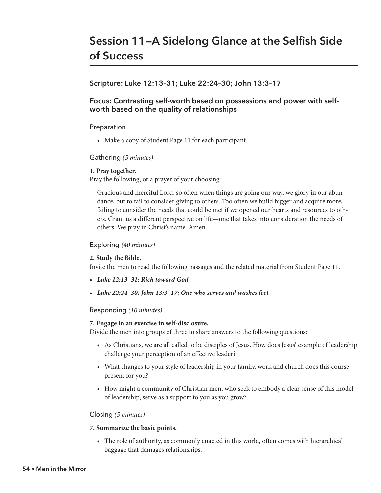# **Scripture: Luke 12:13–31; Luke 22:24–30; John 13:3–17**

# **Focus: Contrasting self-worth based on possessions and power with selfworth based on the quality of relationships**

# Preparation

• Make a copy of Student Page 11 for each participant.

# Gathering *(5 minutes)*

# **1. Pray together.**

Pray the following, or a prayer of your choosing:

Gracious and merciful Lord, so often when things are going our way, we glory in our abundance, but to fail to consider giving to others. Too often we build bigger and acquire more, failing to consider the needs that could be met if we opened our hearts and resources to others. Grant us a different perspective on life—one that takes into consideration the needs of others. We pray in Christ's name. Amen.

# Exploring *(40 minutes)*

# **2. Study the Bible.**

Invite the men to read the following passages and the related material from Student Page 11.

- *Luke 12:13–31: Rich toward God*
- *Luke 22:24–30, John 13:3–17: One who serves and washes feet*

# Responding *(10 minutes)*

# **7. Engage in an exercise in self-disclosure.**

Divide the men into groups of three to share answers to the following questions:

- As Christians, we are all called to be disciples of Jesus. How does Jesus' example of leadership challenge your perception of an effective leader?
- What changes to your style of leadership in your family, work and church does this course present for you?
- How might a community of Christian men, who seek to embody a clear sense of this model of leadership, serve as a support to you as you grow?

# Closing *(5 minutes)*

# **7. Summarize the basic points.**

• The role of authority, as commonly enacted in this world, often comes with hierarchical baggage that damages relationships.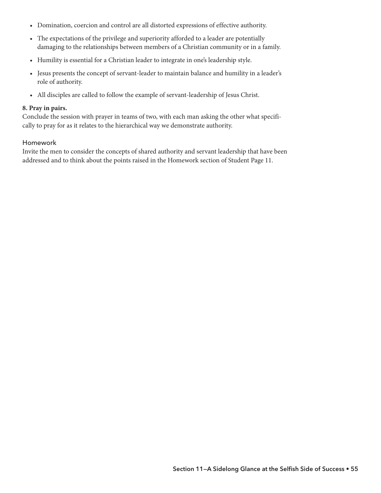- Domination, coercion and control are all distorted expressions of effective authority.
- The expectations of the privilege and superiority afforded to a leader are potentially damaging to the relationships between members of a Christian community or in a family.
- Humility is essential for a Christian leader to integrate in one's leadership style.
- Jesus presents the concept of servant-leader to maintain balance and humility in a leader's role of authority.
- All disciples are called to follow the example of servant-leadership of Jesus Christ.

#### **8. Pray in pairs.**

Conclude the session with prayer in teams of two, with each man asking the other what specifically to pray for as it relates to the hierarchical way we demonstrate authority.

#### Homework

Invite the men to consider the concepts of shared authority and servant leadership that have been addressed and to think about the points raised in the Homework section of Student Page 11.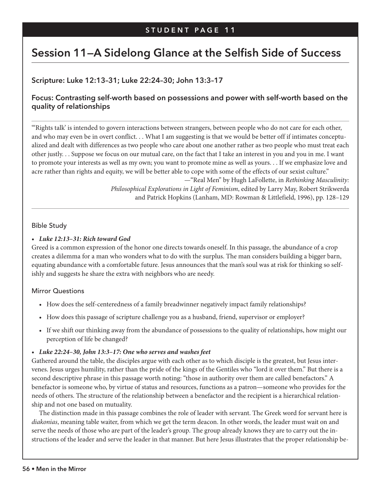# **Session 11—A Sidelong Glance at the Selfish Side of Success**

# **Scripture: Luke 12:13–31; Luke 22:24–30; John 13:3–17**

# **Focus: Contrasting self-worth based on possessions and power with self-worth based on the quality of relationships**

"'Rights talk' is intended to govern interactions between strangers, between people who do not care for each other, and who may even be in overt conflict. . . What I am suggesting is that we would be better off if intimates conceptualized and dealt with differences as two people who care about one another rather as two people who must treat each other justly. . . Suppose we focus on our mutual care, on the fact that I take an interest in you and you in me. I want to promote your interests as well as my own; you want to promote mine as well as yours. . . If we emphasize love and acre rather than rights and equity, we will be better able to cope with some of the effects of our sexist culture."

> —"Real Men" by Hugh LaFollette, in *Rethinking Masculinity: Philosophical Explorations in Light of Feminism*, edited by Larry May, Robert Strikwerda and Patrick Hopkins (Lanham, MD: Rowman & Littlefield, 1996), pp. 128–129

#### Bible Study

#### *• Luke 12:13–31: Rich toward God*

Greed is a common expression of the honor one directs towards oneself. In this passage, the abundance of a crop creates a dilemma for a man who wonders what to do with the surplus. The man considers building a bigger barn, equating abundance with a comfortable future. Jesus announces that the man's soul was at risk for thinking so selfishly and suggests he share the extra with neighbors who are needy.

# Mirror Questions

- How does the self-centeredness of a family breadwinner negatively impact family relationships?
- How does this passage of scripture challenge you as a husband, friend, supervisor or employer?
- If we shift our thinking away from the abundance of possessions to the quality of relationships, how might our perception of life be changed?

#### *• Luke 22:24–30, John 13:3–17: One who serves and washes feet*

Gathered around the table, the disciples argue with each other as to which disciple is the greatest, but Jesus intervenes. Jesus urges humility, rather than the pride of the kings of the Gentiles who "lord it over them." But there is a second descriptive phrase in this passage worth noting: "those in authority over them are called benefactors." A benefactor is someone who, by virtue of status and resources, functions as a patron—someone who provides for the needs of others. The structure of the relationship between a benefactor and the recipient is a hierarchical relationship and not one based on mutuality.

The distinction made in this passage combines the role of leader with servant. The Greek word for servant here is *diakonias*, meaning table waiter, from which we get the term deacon. In other words, the leader must wait on and serve the needs of those who are part of the leader's group. The group already knows they are to carry out the instructions of the leader and serve the leader in that manner. But here Jesus illustrates that the proper relationship be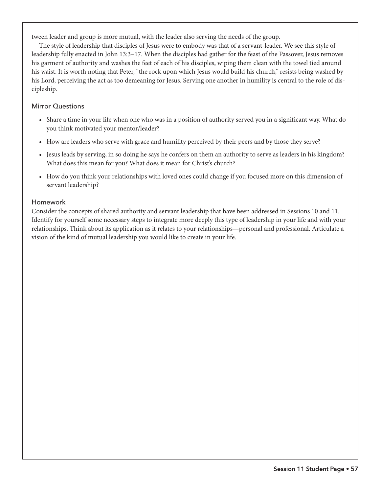tween leader and group is more mutual, with the leader also serving the needs of the group.

The style of leadership that disciples of Jesus were to embody was that of a servant-leader. We see this style of leadership fully enacted in John 13:3–17. When the disciples had gather for the feast of the Passover, Jesus removes his garment of authority and washes the feet of each of his disciples, wiping them clean with the towel tied around his waist. It is worth noting that Peter, "the rock upon which Jesus would build his church," resists being washed by his Lord, perceiving the act as too demeaning for Jesus. Serving one another in humility is central to the role of discipleship.

# Mirror Questions

- Share a time in your life when one who was in a position of authority served you in a significant way. What do you think motivated your mentor/leader?
- How are leaders who serve with grace and humility perceived by their peers and by those they serve?
- Jesus leads by serving, in so doing he says he confers on them an authority to serve as leaders in his kingdom? What does this mean for you? What does it mean for Christ's church?
- How do you think your relationships with loved ones could change if you focused more on this dimension of servant leadership?

# Homework

Consider the concepts of shared authority and servant leadership that have been addressed in Sessions 10 and 11. Identify for yourself some necessary steps to integrate more deeply this type of leadership in your life and with your relationships. Think about its application as it relates to your relationships—personal and professional. Articulate a vision of the kind of mutual leadership you would like to create in your life.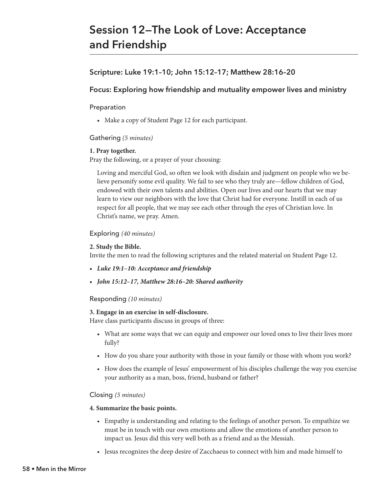# **Session 12—The Look of Love: Acceptance and Friendship**

# **Scripture: Luke 19:1–10; John 15:12–17; Matthew 28:16–20**

# **Focus: Exploring how friendship and mutuality empower lives and ministry**

# Preparation

• Make a copy of Student Page 12 for each participant.

# Gathering *(5 minutes)*

# **1. Pray together.**

Pray the following, or a prayer of your choosing:

Loving and merciful God, so often we look with disdain and judgment on people who we believe personify some evil quality. We fail to see who they truly are—fellow children of God, endowed with their own talents and abilities. Open our lives and our hearts that we may learn to view our neighbors with the love that Christ had for everyone. Instill in each of us respect for all people, that we may see each other through the eyes of Christian love. In Christ's name, we pray. Amen.

# Exploring *(40 minutes)*

# **2. Study the Bible.**

Invite the men to read the following scriptures and the related material on Student Page 12.

- *Luke 19:1–10: Acceptance and friendship*
- *John 15:12–17, Matthew 28:16–20: Shared authority*

# Responding *(10 minutes)*

# **3. Engage in an exercise in self-disclosure.**

Have class participants discuss in groups of three:

- What are some ways that we can equip and empower our loved ones to live their lives more fully?
- How do you share your authority with those in your family or those with whom you work?
- How does the example of Jesus' empowerment of his disciples challenge the way you exercise your authority as a man, boss, friend, husband or father?

# Closing *(5 minutes)*

#### **4. Summarize the basic points.**

- Empathy is understanding and relating to the feelings of another person. To empathize we must be in touch with our own emotions and allow the emotions of another person to impact us. Jesus did this very well both as a friend and as the Messiah.
- Jesus recognizes the deep desire of Zacchaeus to connect with him and made himself to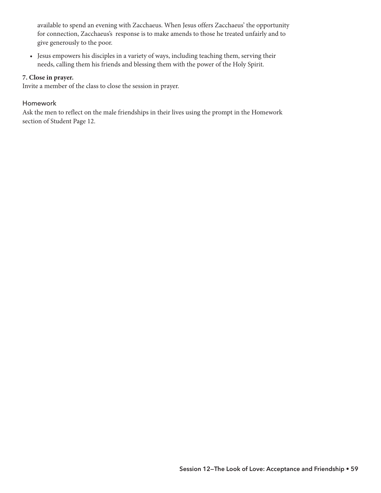available to spend an evening with Zacchaeus. When Jesus offers Zacchaeus' the opportunity for connection, Zacchaeus's response is to make amends to those he treated unfairly and to give generously to the poor.

• Jesus empowers his disciples in a variety of ways, including teaching them, serving their needs, calling them his friends and blessing them with the power of the Holy Spirit.

#### **7. Close in prayer.**

Invite a member of the class to close the session in prayer.

#### Homework

Ask the men to reflect on the male friendships in their lives using the prompt in the Homework section of Student Page 12.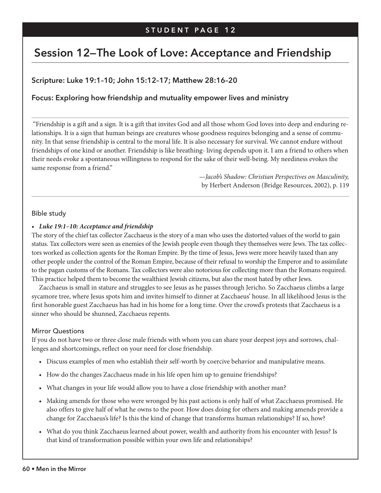# **Session 12—The Look of Love: Acceptance and Friendship**

# **Scripture: Luke 19:1–10; John 15:12–17; Matthew 28:16–20**

# **Focus: Exploring how friendship and mutuality empower lives and ministry**

"Friendship is a gift and a sign. It is a gift that invites God and all those whom God loves into deep and enduring relationships. It is a sign that human beings are creatures whose goodness requires belonging and a sense of community. In that sense friendship is central to the moral life. It is also necessary for survival. We cannot endure without friendships of one kind or another. Friendship is like breathing- living depends upon it. I am a friend to others when their needs evoke a spontaneous willingness to respond for the sake of their well-being. My neediness evokes the same response from a friend."

> —*Jacob's Shadow: Christian Perspectives on Masculinity,*  by Herbert Anderson (Bridge Resources, 2002), p. 119

#### Bible study

#### *• Luke 19:1–10: Acceptance and friendship*

The story of the chief tax collector Zacchaeus is the story of a man who uses the distorted values of the world to gain status. Tax collectors were seen as enemies of the Jewish people even though they themselves were Jews. The tax collectors worked as collection agents for the Roman Empire. By the time of Jesus, Jews were more heavily taxed than any other people under the control of the Roman Empire, because of their refusal to worship the Emperor and to assimilate to the pagan customs of the Romans. Tax collectors were also notorious for collecting more than the Romans required. This practice helped them to become the wealthiest Jewish citizens, but also the most hated by other Jews.

Zacchaeus is small in stature and struggles to see Jesus as he passes through Jericho. So Zacchaeus climbs a large sycamore tree, where Jesus spots him and invites himself to dinner at Zacchaeus' house. In all likelihood Jesus is the first honorable guest Zacchaeus has had in his home for a long time. Over the crowd's protests that Zacchaeus is a sinner who should be shunned, Zacchaeus repents.

#### Mirror Questions

If you do not have two or three close male friends with whom you can share your deepest joys and sorrows, challenges and shortcomings, reflect on your need for close friendship.

- Discuss examples of men who establish their self-worth by coercive behavior and manipulative means.
- How do the changes Zacchaeus made in his life open him up to genuine friendships?
- What changes in your life would allow you to have a close friendship with another man?
- Making amends for those who were wronged by his past actions is only half of what Zacchaeus promised. He also offers to give half of what he owns to the poor. How does doing for others and making amends provide a change for Zacchaeus's life? Is this the kind of change that transforms human relationships? If so, how?
- What do you think Zacchaeus learned about power, wealth and authority from his encounter with Jesus? Is that kind of transformation possible within your own life and relationships?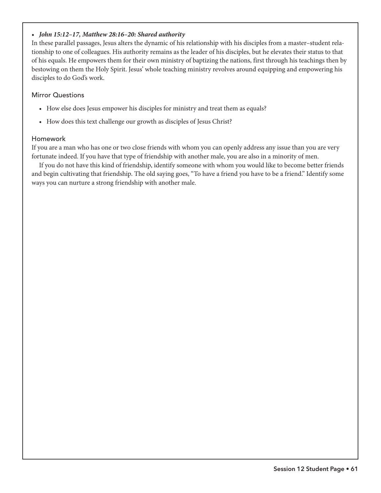# *• John 15:12–17, Matthew 28:16–20: Shared authority*

In these parallel passages, Jesus alters the dynamic of his relationship with his disciples from a master–student relationship to one of colleagues. His authority remains as the leader of his disciples, but he elevates their status to that of his equals. He empowers them for their own ministry of baptizing the nations, first through his teachings then by bestowing on them the Holy Spirit. Jesus' whole teaching ministry revolves around equipping and empowering his disciples to do God's work.

#### Mirror Questions

- How else does Jesus empower his disciples for ministry and treat them as equals?
- How does this text challenge our growth as disciples of Jesus Christ?

#### Homework

If you are a man who has one or two close friends with whom you can openly address any issue than you are very fortunate indeed. If you have that type of friendship with another male, you are also in a minority of men.

If you do not have this kind of friendship, identify someone with whom you would like to become better friends and begin cultivating that friendship. The old saying goes, "To have a friend you have to be a friend." Identify some ways you can nurture a strong friendship with another male.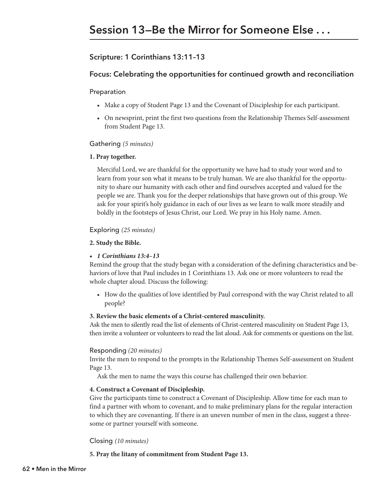# **Scripture: 1 Corinthians 13:11–13**

## **Focus: Celebrating the opportunities for continued growth and reconciliation**

Preparation

- Make a copy of Student Page 13 and the Covenant of Discipleship for each participant.
- On newsprint, print the first two questions from the Relationship Themes Self-assessment from Student Page 13.

#### Gathering *(5 minutes)*

#### **1. Pray together.**

Merciful Lord, we are thankful for the opportunity we have had to study your word and to learn from your son what it means to be truly human. We are also thankful for the opportunity to share our humanity with each other and find ourselves accepted and valued for the people we are. Thank you for the deeper relationships that have grown out of this group. We ask for your spirit's holy guidance in each of our lives as we learn to walk more steadily and boldly in the footsteps of Jesus Christ, our Lord. We pray in his Holy name. Amen.

#### Exploring *(25 minutes)*

#### **2. Study the Bible.**

#### *• 1 Corinthians 13:4–13*

Remind the group that the study began with a consideration of the defining characteristics and behaviors of love that Paul includes in 1 Corinthians 13. Ask one or more volunteers to read the whole chapter aloud. Discuss the following:

• How do the qualities of love identified by Paul correspond with the way Christ related to all people?

#### **3. Review the basic elements of a Christ-centered masculinity.**

Ask the men to silently read the list of elements of Christ-centered masculinity on Student Page 13, then invite a volunteer or volunteers to read the list aloud. Ask for comments or questions on the list.

#### Responding *(20 minutes)*

Invite the men to respond to the prompts in the Relationship Themes Self-assessment on Student Page 13.

Ask the men to name the ways this course has challenged their own behavior.

#### **4. Construct a Covenant of Discipleship.**

Give the participants time to construct a Covenant of Discipleship. Allow time for each man to find a partner with whom to covenant, and to make preliminary plans for the regular interaction to which they are covenanting. If there is an uneven number of men in the class, suggest a threesome or partner yourself with someone.

#### Closing *(10 minutes)*

**5. Pray the litany of commitment from Student Page 13.**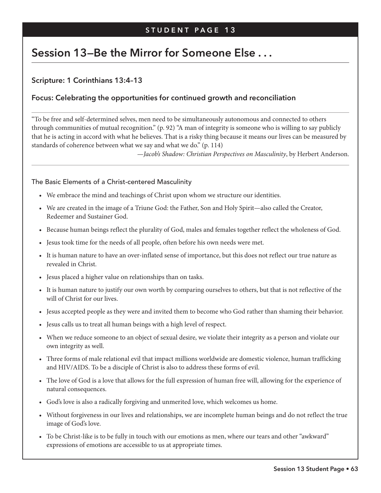# **Session 13—Be the Mirror for Someone Else . . .**

# **Scripture: 1 Corinthians 13:4–13**

# **Focus: Celebrating the opportunities for continued growth and reconciliation**

"To be free and self-determined selves, men need to be simultaneously autonomous and connected to others through communities of mutual recognition." (p. 92) "A man of integrity is someone who is willing to say publicly that he is acting in accord with what he believes. That is a risky thing because it means our lives can be measured by standards of coherence between what we say and what we do." (p. 114)

—*Jacob's Shadow: Christian Perspectives on Masculinity*, by Herbert Anderson.

#### The Basic Elements of a Christ-centered Masculinity

- We embrace the mind and teachings of Christ upon whom we structure our identities.
- We are created in the image of a Triune God: the Father, Son and Holy Spirit—also called the Creator, Redeemer and Sustainer God.
- Because human beings reflect the plurality of God, males and females together reflect the wholeness of God.
- Jesus took time for the needs of all people, often before his own needs were met.
- It is human nature to have an over-inflated sense of importance, but this does not reflect our true nature as revealed in Christ.
- Jesus placed a higher value on relationships than on tasks.
- It is human nature to justify our own worth by comparing ourselves to others, but that is not reflective of the will of Christ for our lives.
- Jesus accepted people as they were and invited them to become who God rather than shaming their behavior.
- Jesus calls us to treat all human beings with a high level of respect.
- When we reduce someone to an object of sexual desire, we violate their integrity as a person and violate our own integrity as well.
- Three forms of male relational evil that impact millions worldwide are domestic violence, human trafficking and HIV/AIDS. To be a disciple of Christ is also to address these forms of evil.
- The love of God is a love that allows for the full expression of human free will, allowing for the experience of natural consequences.
- God's love is also a radically forgiving and unmerited love, which welcomes us home.
- Without forgiveness in our lives and relationships, we are incomplete human beings and do not reflect the true image of God's love.
- To be Christ-like is to be fully in touch with our emotions as men, where our tears and other "awkward" expressions of emotions are accessible to us at appropriate times.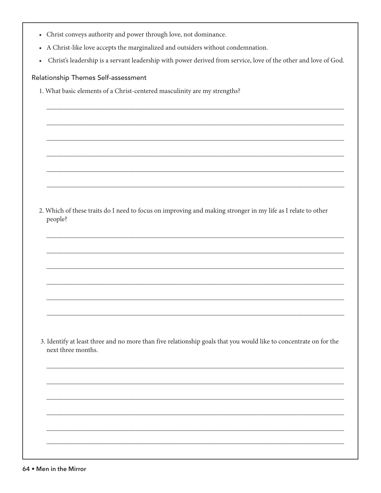| • Christ conveys authority and power through love, not dominance. |  |  |  |  |
|-------------------------------------------------------------------|--|--|--|--|
|                                                                   |  |  |  |  |

- A Christ-like love accepts the marginalized and outsiders without condemnation.
- Christ's leadership is a servant leadership with power derived from service, love of the other and love of God.

#### Relationship Themes Self-assessment

1. What basic elements of a Christ-centered masculinity are my strengths?

| 2. Which of these traits do I need to focus on improving and making stronger in my life as I relate to other |
|--------------------------------------------------------------------------------------------------------------|
| people?                                                                                                      |

3. Identify at least three and no more than five relationship goals that you would like to concentrate on for the next three months.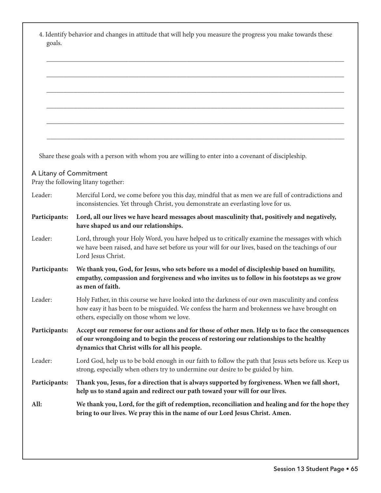| goals.                 | 4. Identify behavior and changes in attitude that will help you measure the progress you make towards these                                                                                                                                   |
|------------------------|-----------------------------------------------------------------------------------------------------------------------------------------------------------------------------------------------------------------------------------------------|
|                        |                                                                                                                                                                                                                                               |
|                        |                                                                                                                                                                                                                                               |
|                        |                                                                                                                                                                                                                                               |
|                        |                                                                                                                                                                                                                                               |
|                        | Share these goals with a person with whom you are willing to enter into a covenant of discipleship.                                                                                                                                           |
| A Litany of Commitment | Pray the following litany together:                                                                                                                                                                                                           |
| Leader:                | Merciful Lord, we come before you this day, mindful that as men we are full of contradictions and<br>inconsistencies. Yet through Christ, you demonstrate an everlasting love for us.                                                         |
| Participants:          | Lord, all our lives we have heard messages about masculinity that, positively and negatively,<br>have shaped us and our relationships.                                                                                                        |
| Leader:                | Lord, through your Holy Word, you have helped us to critically examine the messages with which<br>we have been raised, and have set before us your will for our lives, based on the teachings of our<br>Lord Jesus Christ.                    |
| Participants:          | We thank you, God, for Jesus, who sets before us a model of discipleship based on humility,<br>empathy, compassion and forgiveness and who invites us to follow in his footsteps as we grow<br>as men of faith.                               |
| Leader:                | Holy Father, in this course we have looked into the darkness of our own masculinity and confess<br>how easy it has been to be misguided. We confess the harm and brokenness we have brought on<br>others, especially on those whom we love.   |
| Participants:          | Accept our remorse for our actions and for those of other men. Help us to face the consequences<br>of our wrongdoing and to begin the process of restoring our relationships to the healthy<br>dynamics that Christ wills for all his people. |
| Leader:                | Lord God, help us to be bold enough in our faith to follow the path that Jesus sets before us. Keep us<br>strong, especially when others try to undermine our desire to be guided by him.                                                     |
| Participants:          | Thank you, Jesus, for a direction that is always supported by forgiveness. When we fall short,<br>help us to stand again and redirect our path toward your will for our lives.                                                                |
| All:                   | We thank you, Lord, for the gift of redemption, reconciliation and healing and for the hope they<br>bring to our lives. We pray this in the name of our Lord Jesus Christ. Amen.                                                              |
|                        |                                                                                                                                                                                                                                               |